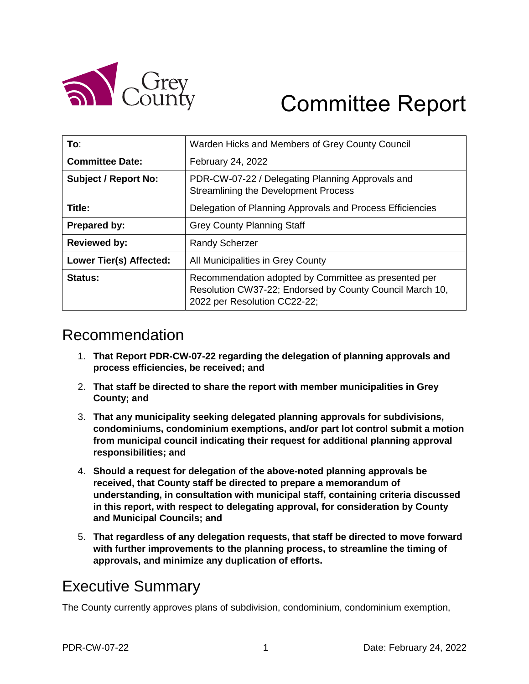

# Committee Report

| To:                         | Warden Hicks and Members of Grey County Council                                                                                                  |
|-----------------------------|--------------------------------------------------------------------------------------------------------------------------------------------------|
| <b>Committee Date:</b>      | February 24, 2022                                                                                                                                |
| <b>Subject / Report No:</b> | PDR-CW-07-22 / Delegating Planning Approvals and<br><b>Streamlining the Development Process</b>                                                  |
| Title:                      | Delegation of Planning Approvals and Process Efficiencies                                                                                        |
| <b>Prepared by:</b>         | <b>Grey County Planning Staff</b>                                                                                                                |
| <b>Reviewed by:</b>         | <b>Randy Scherzer</b>                                                                                                                            |
| Lower Tier(s) Affected:     | All Municipalities in Grey County                                                                                                                |
| Status:                     | Recommendation adopted by Committee as presented per<br>Resolution CW37-22; Endorsed by County Council March 10,<br>2022 per Resolution CC22-22; |

# Recommendation

- 1. **That Report PDR-CW-07-22 regarding the delegation of planning approvals and process efficiencies, be received; and**
- 2. **That staff be directed to share the report with member municipalities in Grey County; and**
- 3. **That any municipality seeking delegated planning approvals for subdivisions, condominiums, condominium exemptions, and/or part lot control submit a motion from municipal council indicating their request for additional planning approval responsibilities; and**
- 4. **Should a request for delegation of the above-noted planning approvals be received, that County staff be directed to prepare a memorandum of understanding, in consultation with municipal staff, containing criteria discussed in this report, with respect to delegating approval, for consideration by County and Municipal Councils; and**
- 5. **That regardless of any delegation requests, that staff be directed to move forward with further improvements to the planning process, to streamline the timing of approvals, and minimize any duplication of efforts.**

# Executive Summary

The County currently approves plans of subdivision, condominium, condominium exemption,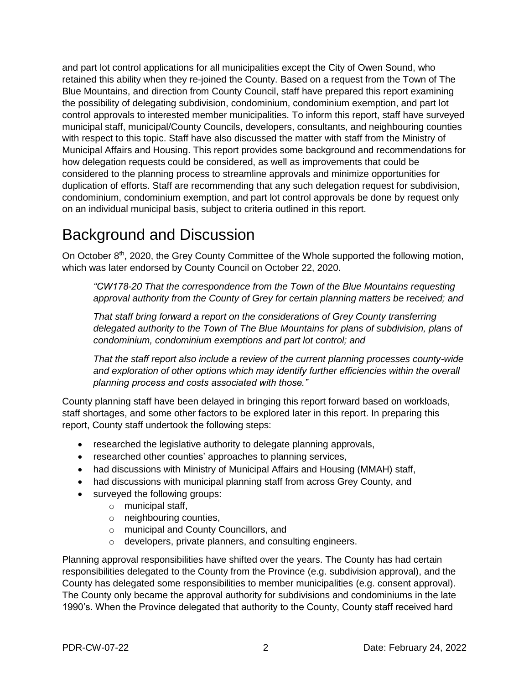and part lot control applications for all municipalities except the City of Owen Sound, who retained this ability when they re-joined the County. Based on a request from the Town of The Blue Mountains, and direction from County Council, staff have prepared this report examining the possibility of delegating subdivision, condominium, condominium exemption, and part lot control approvals to interested member municipalities. To inform this report, staff have surveyed municipal staff, municipal/County Councils, developers, consultants, and neighbouring counties with respect to this topic. Staff have also discussed the matter with staff from the Ministry of Municipal Affairs and Housing. This report provides some background and recommendations for how delegation requests could be considered, as well as improvements that could be considered to the planning process to streamline approvals and minimize opportunities for duplication of efforts. Staff are recommending that any such delegation request for subdivision, condominium, condominium exemption, and part lot control approvals be done by request only on an individual municipal basis, subject to criteria outlined in this report.

# Background and Discussion

On October 8<sup>th</sup>, 2020, the Grey County Committee of the Whole supported the following motion, which was later endorsed by County Council on October 22, 2020.

*"CW178-20 That the correspondence from the Town of the Blue Mountains requesting approval authority from the County of Grey for certain planning matters be received; and* 

*That staff bring forward a report on the considerations of Grey County transferring delegated authority to the Town of The Blue Mountains for plans of subdivision, plans of condominium, condominium exemptions and part lot control; and* 

*That the staff report also include a review of the current planning processes county-wide and exploration of other options which may identify further efficiencies within the overall planning process and costs associated with those."*

County planning staff have been delayed in bringing this report forward based on workloads, staff shortages, and some other factors to be explored later in this report. In preparing this report, County staff undertook the following steps:

- researched the legislative authority to delegate planning approvals,
- researched other counties' approaches to planning services,
- had discussions with Ministry of Municipal Affairs and Housing (MMAH) staff,
- had discussions with municipal planning staff from across Grey County, and
- surveyed the following groups:
	- o municipal staff,
	- o neighbouring counties,
	- o municipal and County Councillors, and
	- o developers, private planners, and consulting engineers.

Planning approval responsibilities have shifted over the years. The County has had certain responsibilities delegated to the County from the Province (e.g. subdivision approval), and the County has delegated some responsibilities to member municipalities (e.g. consent approval). The County only became the approval authority for subdivisions and condominiums in the late 1990's. When the Province delegated that authority to the County, County staff received hard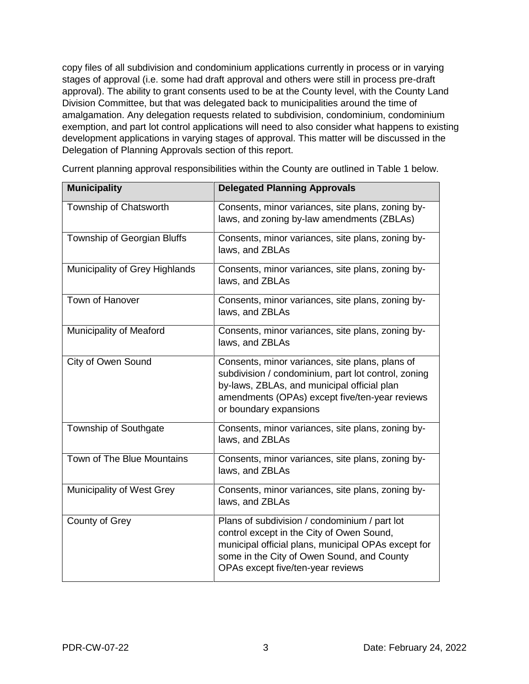copy files of all subdivision and condominium applications currently in process or in varying stages of approval (i.e. some had draft approval and others were still in process pre-draft approval). The ability to grant consents used to be at the County level, with the County Land Division Committee, but that was delegated back to municipalities around the time of amalgamation. Any delegation requests related to subdivision, condominium, condominium exemption, and part lot control applications will need to also consider what happens to existing development applications in varying stages of approval. This matter will be discussed in the Delegation of Planning Approvals section of this report.

| <b>Municipality</b>            | <b>Delegated Planning Approvals</b>                                                                                                                                                                                                  |
|--------------------------------|--------------------------------------------------------------------------------------------------------------------------------------------------------------------------------------------------------------------------------------|
| Township of Chatsworth         | Consents, minor variances, site plans, zoning by-<br>laws, and zoning by-law amendments (ZBLAs)                                                                                                                                      |
| Township of Georgian Bluffs    | Consents, minor variances, site plans, zoning by-<br>laws, and ZBLAs                                                                                                                                                                 |
| Municipality of Grey Highlands | Consents, minor variances, site plans, zoning by-<br>laws, and ZBLAs                                                                                                                                                                 |
| Town of Hanover                | Consents, minor variances, site plans, zoning by-<br>laws, and ZBLAs                                                                                                                                                                 |
| Municipality of Meaford        | Consents, minor variances, site plans, zoning by-<br>laws, and ZBLAs                                                                                                                                                                 |
| City of Owen Sound             | Consents, minor variances, site plans, plans of<br>subdivision / condominium, part lot control, zoning<br>by-laws, ZBLAs, and municipal official plan<br>amendments (OPAs) except five/ten-year reviews<br>or boundary expansions    |
| Township of Southgate          | Consents, minor variances, site plans, zoning by-<br>laws, and ZBLAs                                                                                                                                                                 |
| Town of The Blue Mountains     | Consents, minor variances, site plans, zoning by-<br>laws, and ZBLAs                                                                                                                                                                 |
| Municipality of West Grey      | Consents, minor variances, site plans, zoning by-<br>laws, and ZBLAs                                                                                                                                                                 |
| County of Grey                 | Plans of subdivision / condominium / part lot<br>control except in the City of Owen Sound,<br>municipal official plans, municipal OPAs except for<br>some in the City of Owen Sound, and County<br>OPAs except five/ten-year reviews |

Current planning approval responsibilities within the County are outlined in Table 1 below.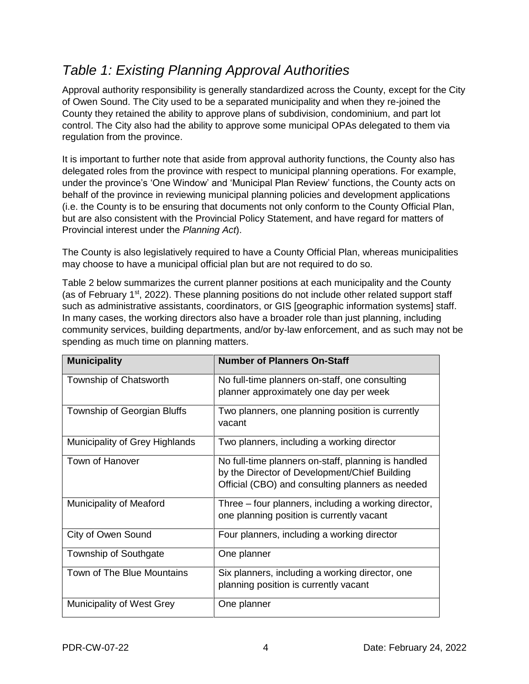# *Table 1: Existing Planning Approval Authorities*

Approval authority responsibility is generally standardized across the County, except for the City of Owen Sound. The City used to be a separated municipality and when they re-joined the County they retained the ability to approve plans of subdivision, condominium, and part lot control. The City also had the ability to approve some municipal OPAs delegated to them via regulation from the province.

It is important to further note that aside from approval authority functions, the County also has delegated roles from the province with respect to municipal planning operations. For example, under the province's 'One Window' and 'Municipal Plan Review' functions, the County acts on behalf of the province in reviewing municipal planning policies and development applications (i.e. the County is to be ensuring that documents not only conform to the County Official Plan, but are also consistent with the Provincial Policy Statement, and have regard for matters of Provincial interest under the *Planning Act*).

The County is also legislatively required to have a County Official Plan, whereas municipalities may choose to have a municipal official plan but are not required to do so.

Table 2 below summarizes the current planner positions at each municipality and the County (as of February 1<sup>st</sup>, 2022). These planning positions do not include other related support staff such as administrative assistants, coordinators, or GIS [geographic information systems] staff. In many cases, the working directors also have a broader role than just planning, including community services, building departments, and/or by-law enforcement, and as such may not be spending as much time on planning matters.

| <b>Municipality</b>            | <b>Number of Planners On-Staff</b>                   |
|--------------------------------|------------------------------------------------------|
| Township of Chatsworth         | No full-time planners on-staff, one consulting       |
|                                | planner approximately one day per week               |
| Township of Georgian Bluffs    | Two planners, one planning position is currently     |
|                                | vacant                                               |
| Municipality of Grey Highlands | Two planners, including a working director           |
| Town of Hanover                | No full-time planners on-staff, planning is handled  |
|                                | by the Director of Development/Chief Building        |
|                                | Official (CBO) and consulting planners as needed     |
| <b>Municipality of Meaford</b> | Three – four planners, including a working director, |
|                                | one planning position is currently vacant            |
| City of Owen Sound             | Four planners, including a working director          |
| Township of Southgate          | One planner                                          |
| Town of The Blue Mountains     | Six planners, including a working director, one      |
|                                | planning position is currently vacant                |
| Municipality of West Grey      | One planner                                          |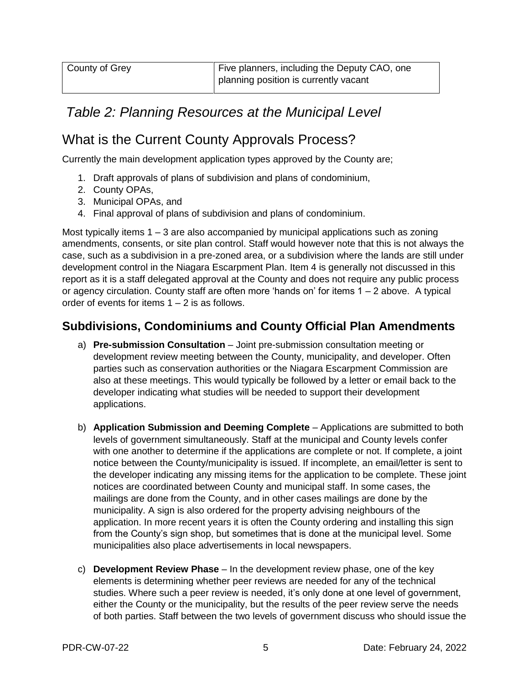# *Table 2: Planning Resources at the Municipal Level*

### What is the Current County Approvals Process?

Currently the main development application types approved by the County are;

- 1. Draft approvals of plans of subdivision and plans of condominium,
- 2. County OPAs,
- 3. Municipal OPAs, and
- 4. Final approval of plans of subdivision and plans of condominium.

Most typically items  $1 - 3$  are also accompanied by municipal applications such as zoning amendments, consents, or site plan control. Staff would however note that this is not always the case, such as a subdivision in a pre-zoned area, or a subdivision where the lands are still under development control in the Niagara Escarpment Plan. Item 4 is generally not discussed in this report as it is a staff delegated approval at the County and does not require any public process or agency circulation. County staff are often more 'hands on' for items 1 – 2 above. A typical order of events for items  $1 - 2$  is as follows.

### **Subdivisions, Condominiums and County Official Plan Amendments**

- a) **Pre-submission Consultation**  Joint pre-submission consultation meeting or development review meeting between the County, municipality, and developer. Often parties such as conservation authorities or the Niagara Escarpment Commission are also at these meetings. This would typically be followed by a letter or email back to the developer indicating what studies will be needed to support their development applications.
- b) **Application Submission and Deeming Complete**  Applications are submitted to both levels of government simultaneously. Staff at the municipal and County levels confer with one another to determine if the applications are complete or not. If complete, a joint notice between the County/municipality is issued. If incomplete, an email/letter is sent to the developer indicating any missing items for the application to be complete. These joint notices are coordinated between County and municipal staff. In some cases, the mailings are done from the County, and in other cases mailings are done by the municipality. A sign is also ordered for the property advising neighbours of the application. In more recent years it is often the County ordering and installing this sign from the County's sign shop, but sometimes that is done at the municipal level. Some municipalities also place advertisements in local newspapers.
- c) **Development Review Phase**  In the development review phase, one of the key elements is determining whether peer reviews are needed for any of the technical studies. Where such a peer review is needed, it's only done at one level of government, either the County or the municipality, but the results of the peer review serve the needs of both parties. Staff between the two levels of government discuss who should issue the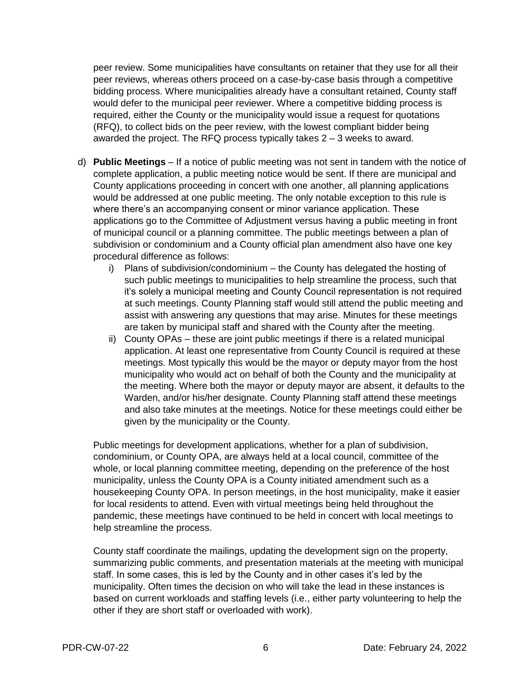peer review. Some municipalities have consultants on retainer that they use for all their peer reviews, whereas others proceed on a case-by-case basis through a competitive bidding process. Where municipalities already have a consultant retained, County staff would defer to the municipal peer reviewer. Where a competitive bidding process is required, either the County or the municipality would issue a request for quotations (RFQ), to collect bids on the peer review, with the lowest compliant bidder being awarded the project. The RFQ process typically takes 2 – 3 weeks to award.

- d) **Public Meetings**  If a notice of public meeting was not sent in tandem with the notice of complete application, a public meeting notice would be sent. If there are municipal and County applications proceeding in concert with one another, all planning applications would be addressed at one public meeting. The only notable exception to this rule is where there's an accompanying consent or minor variance application. These applications go to the Committee of Adjustment versus having a public meeting in front of municipal council or a planning committee. The public meetings between a plan of subdivision or condominium and a County official plan amendment also have one key procedural difference as follows:
	- i) Plans of subdivision/condominium the County has delegated the hosting of such public meetings to municipalities to help streamline the process, such that it's solely a municipal meeting and County Council representation is not required at such meetings. County Planning staff would still attend the public meeting and assist with answering any questions that may arise. Minutes for these meetings are taken by municipal staff and shared with the County after the meeting.
	- ii) County OPAs these are joint public meetings if there is a related municipal application. At least one representative from County Council is required at these meetings. Most typically this would be the mayor or deputy mayor from the host municipality who would act on behalf of both the County and the municipality at the meeting. Where both the mayor or deputy mayor are absent, it defaults to the Warden, and/or his/her designate. County Planning staff attend these meetings and also take minutes at the meetings. Notice for these meetings could either be given by the municipality or the County.

Public meetings for development applications, whether for a plan of subdivision, condominium, or County OPA, are always held at a local council, committee of the whole, or local planning committee meeting, depending on the preference of the host municipality, unless the County OPA is a County initiated amendment such as a housekeeping County OPA. In person meetings, in the host municipality, make it easier for local residents to attend. Even with virtual meetings being held throughout the pandemic, these meetings have continued to be held in concert with local meetings to help streamline the process.

County staff coordinate the mailings, updating the development sign on the property, summarizing public comments, and presentation materials at the meeting with municipal staff. In some cases, this is led by the County and in other cases it's led by the municipality. Often times the decision on who will take the lead in these instances is based on current workloads and staffing levels (i.e., either party volunteering to help the other if they are short staff or overloaded with work).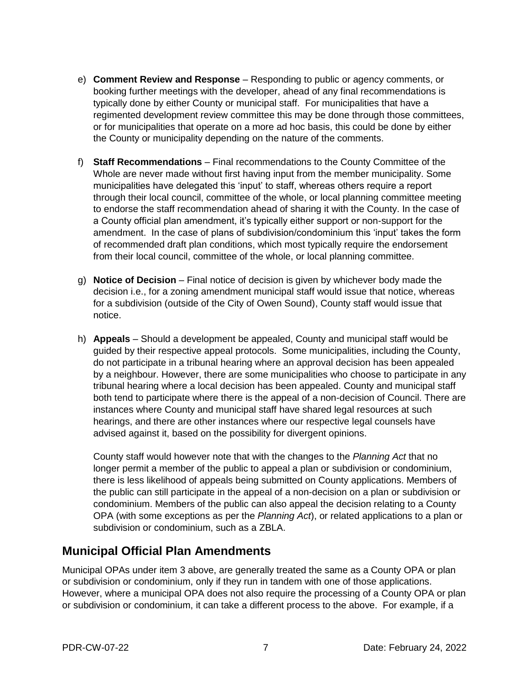- e) **Comment Review and Response** Responding to public or agency comments, or booking further meetings with the developer, ahead of any final recommendations is typically done by either County or municipal staff. For municipalities that have a regimented development review committee this may be done through those committees, or for municipalities that operate on a more ad hoc basis, this could be done by either the County or municipality depending on the nature of the comments.
- f) **Staff Recommendations** Final recommendations to the County Committee of the Whole are never made without first having input from the member municipality. Some municipalities have delegated this 'input' to staff, whereas others require a report through their local council, committee of the whole, or local planning committee meeting to endorse the staff recommendation ahead of sharing it with the County. In the case of a County official plan amendment, it's typically either support or non-support for the amendment. In the case of plans of subdivision/condominium this 'input' takes the form of recommended draft plan conditions, which most typically require the endorsement from their local council, committee of the whole, or local planning committee.
- g) **Notice of Decision**  Final notice of decision is given by whichever body made the decision i.e., for a zoning amendment municipal staff would issue that notice, whereas for a subdivision (outside of the City of Owen Sound), County staff would issue that notice.
- h) **Appeals**  Should a development be appealed, County and municipal staff would be guided by their respective appeal protocols. Some municipalities, including the County, do not participate in a tribunal hearing where an approval decision has been appealed by a neighbour. However, there are some municipalities who choose to participate in any tribunal hearing where a local decision has been appealed. County and municipal staff both tend to participate where there is the appeal of a non-decision of Council. There are instances where County and municipal staff have shared legal resources at such hearings, and there are other instances where our respective legal counsels have advised against it, based on the possibility for divergent opinions.

County staff would however note that with the changes to the *Planning Act* that no longer permit a member of the public to appeal a plan or subdivision or condominium, there is less likelihood of appeals being submitted on County applications. Members of the public can still participate in the appeal of a non-decision on a plan or subdivision or condominium. Members of the public can also appeal the decision relating to a County OPA (with some exceptions as per the *Planning Act*), or related applications to a plan or subdivision or condominium, such as a ZBLA.

### **Municipal Official Plan Amendments**

Municipal OPAs under item 3 above, are generally treated the same as a County OPA or plan or subdivision or condominium, only if they run in tandem with one of those applications. However, where a municipal OPA does not also require the processing of a County OPA or plan or subdivision or condominium, it can take a different process to the above. For example, if a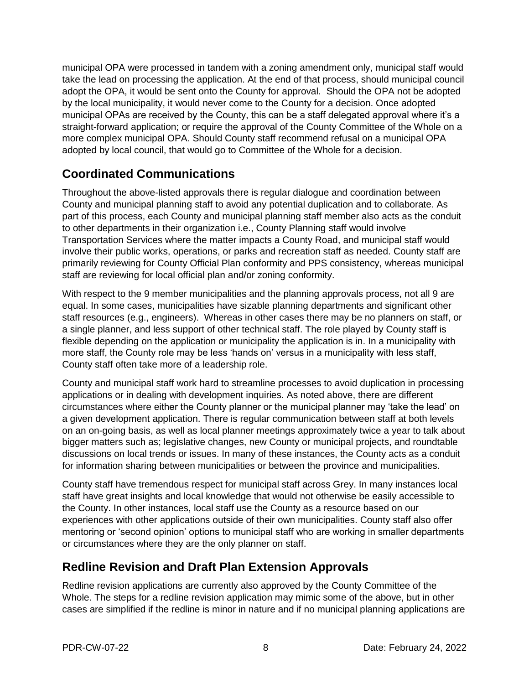municipal OPA were processed in tandem with a zoning amendment only, municipal staff would take the lead on processing the application. At the end of that process, should municipal council adopt the OPA, it would be sent onto the County for approval. Should the OPA not be adopted by the local municipality, it would never come to the County for a decision. Once adopted municipal OPAs are received by the County, this can be a staff delegated approval where it's a straight-forward application; or require the approval of the County Committee of the Whole on a more complex municipal OPA. Should County staff recommend refusal on a municipal OPA adopted by local council, that would go to Committee of the Whole for a decision.

### **Coordinated Communications**

Throughout the above-listed approvals there is regular dialogue and coordination between County and municipal planning staff to avoid any potential duplication and to collaborate. As part of this process, each County and municipal planning staff member also acts as the conduit to other departments in their organization i.e., County Planning staff would involve Transportation Services where the matter impacts a County Road, and municipal staff would involve their public works, operations, or parks and recreation staff as needed. County staff are primarily reviewing for County Official Plan conformity and PPS consistency, whereas municipal staff are reviewing for local official plan and/or zoning conformity.

With respect to the 9 member municipalities and the planning approvals process, not all 9 are equal. In some cases, municipalities have sizable planning departments and significant other staff resources (e.g., engineers). Whereas in other cases there may be no planners on staff, or a single planner, and less support of other technical staff. The role played by County staff is flexible depending on the application or municipality the application is in. In a municipality with more staff, the County role may be less 'hands on' versus in a municipality with less staff, County staff often take more of a leadership role.

County and municipal staff work hard to streamline processes to avoid duplication in processing applications or in dealing with development inquiries. As noted above, there are different circumstances where either the County planner or the municipal planner may 'take the lead' on a given development application. There is regular communication between staff at both levels on an on-going basis, as well as local planner meetings approximately twice a year to talk about bigger matters such as; legislative changes, new County or municipal projects, and roundtable discussions on local trends or issues. In many of these instances, the County acts as a conduit for information sharing between municipalities or between the province and municipalities.

County staff have tremendous respect for municipal staff across Grey. In many instances local staff have great insights and local knowledge that would not otherwise be easily accessible to the County. In other instances, local staff use the County as a resource based on our experiences with other applications outside of their own municipalities. County staff also offer mentoring or 'second opinion' options to municipal staff who are working in smaller departments or circumstances where they are the only planner on staff.

### **Redline Revision and Draft Plan Extension Approvals**

Redline revision applications are currently also approved by the County Committee of the Whole. The steps for a redline revision application may mimic some of the above, but in other cases are simplified if the redline is minor in nature and if no municipal planning applications are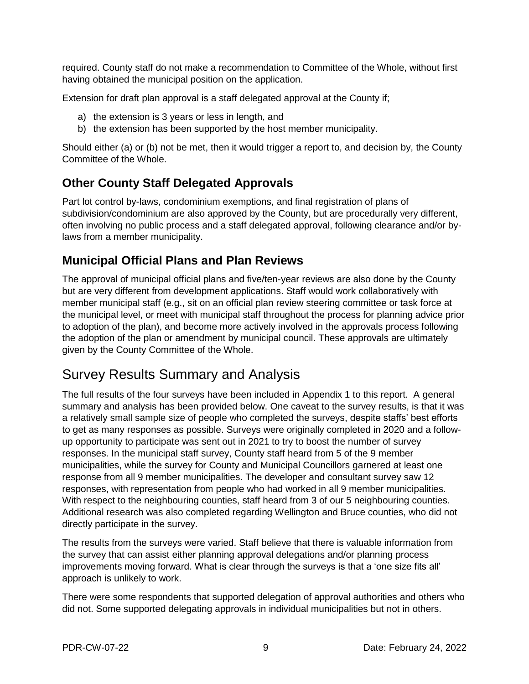required. County staff do not make a recommendation to Committee of the Whole, without first having obtained the municipal position on the application.

Extension for draft plan approval is a staff delegated approval at the County if;

- a) the extension is 3 years or less in length, and
- b) the extension has been supported by the host member municipality.

Should either (a) or (b) not be met, then it would trigger a report to, and decision by, the County Committee of the Whole.

### **Other County Staff Delegated Approvals**

Part lot control by-laws, condominium exemptions, and final registration of plans of subdivision/condominium are also approved by the County, but are procedurally very different, often involving no public process and a staff delegated approval, following clearance and/or bylaws from a member municipality.

### **Municipal Official Plans and Plan Reviews**

The approval of municipal official plans and five/ten-year reviews are also done by the County but are very different from development applications. Staff would work collaboratively with member municipal staff (e.g., sit on an official plan review steering committee or task force at the municipal level, or meet with municipal staff throughout the process for planning advice prior to adoption of the plan), and become more actively involved in the approvals process following the adoption of the plan or amendment by municipal council. These approvals are ultimately given by the County Committee of the Whole.

# Survey Results Summary and Analysis

The full results of the four surveys have been included in Appendix 1 to this report. A general summary and analysis has been provided below. One caveat to the survey results, is that it was a relatively small sample size of people who completed the surveys, despite staffs' best efforts to get as many responses as possible. Surveys were originally completed in 2020 and a followup opportunity to participate was sent out in 2021 to try to boost the number of survey responses. In the municipal staff survey, County staff heard from 5 of the 9 member municipalities, while the survey for County and Municipal Councillors garnered at least one response from all 9 member municipalities. The developer and consultant survey saw 12 responses, with representation from people who had worked in all 9 member municipalities. With respect to the neighbouring counties, staff heard from 3 of our 5 neighbouring counties. Additional research was also completed regarding Wellington and Bruce counties, who did not directly participate in the survey.

The results from the surveys were varied. Staff believe that there is valuable information from the survey that can assist either planning approval delegations and/or planning process improvements moving forward. What is clear through the surveys is that a 'one size fits all' approach is unlikely to work.

There were some respondents that supported delegation of approval authorities and others who did not. Some supported delegating approvals in individual municipalities but not in others.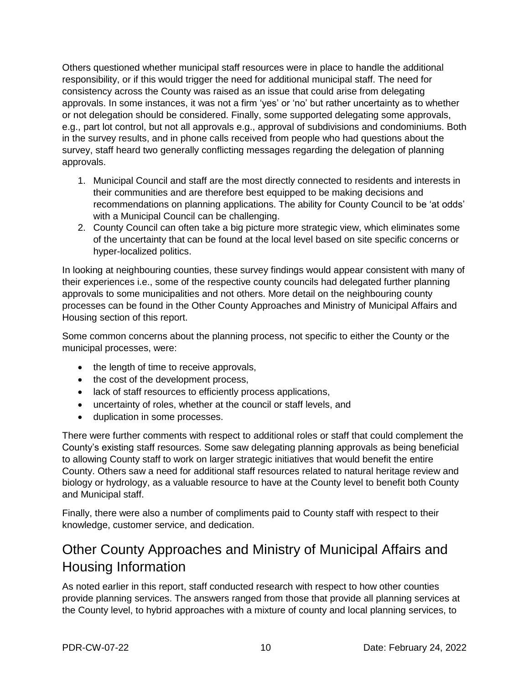Others questioned whether municipal staff resources were in place to handle the additional responsibility, or if this would trigger the need for additional municipal staff. The need for consistency across the County was raised as an issue that could arise from delegating approvals. In some instances, it was not a firm 'yes' or 'no' but rather uncertainty as to whether or not delegation should be considered. Finally, some supported delegating some approvals, e.g., part lot control, but not all approvals e.g., approval of subdivisions and condominiums. Both in the survey results, and in phone calls received from people who had questions about the survey, staff heard two generally conflicting messages regarding the delegation of planning approvals.

- 1. Municipal Council and staff are the most directly connected to residents and interests in their communities and are therefore best equipped to be making decisions and recommendations on planning applications. The ability for County Council to be 'at odds' with a Municipal Council can be challenging.
- 2. County Council can often take a big picture more strategic view, which eliminates some of the uncertainty that can be found at the local level based on site specific concerns or hyper-localized politics.

In looking at neighbouring counties, these survey findings would appear consistent with many of their experiences i.e., some of the respective county councils had delegated further planning approvals to some municipalities and not others. More detail on the neighbouring county processes can be found in the Other County Approaches and Ministry of Municipal Affairs and Housing section of this report.

Some common concerns about the planning process, not specific to either the County or the municipal processes, were:

- the length of time to receive approvals,
- the cost of the development process,
- lack of staff resources to efficiently process applications,
- uncertainty of roles, whether at the council or staff levels, and
- duplication in some processes.

There were further comments with respect to additional roles or staff that could complement the County's existing staff resources. Some saw delegating planning approvals as being beneficial to allowing County staff to work on larger strategic initiatives that would benefit the entire County. Others saw a need for additional staff resources related to natural heritage review and biology or hydrology, as a valuable resource to have at the County level to benefit both County and Municipal staff.

Finally, there were also a number of compliments paid to County staff with respect to their knowledge, customer service, and dedication.

### Other County Approaches and Ministry of Municipal Affairs and Housing Information

As noted earlier in this report, staff conducted research with respect to how other counties provide planning services. The answers ranged from those that provide all planning services at the County level, to hybrid approaches with a mixture of county and local planning services, to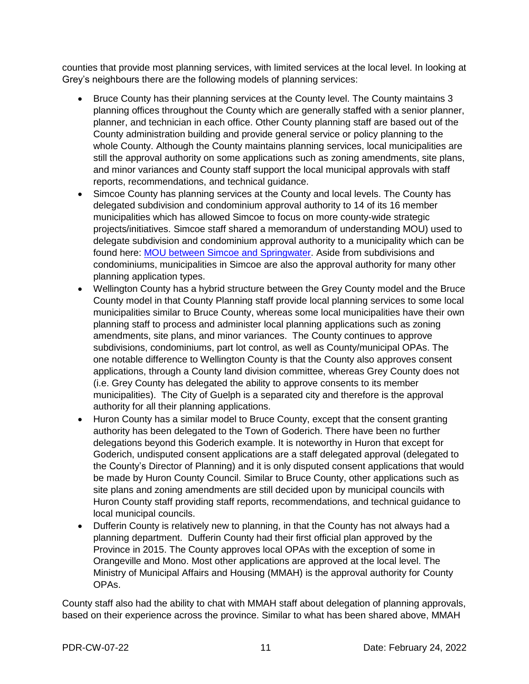counties that provide most planning services, with limited services at the local level. In looking at Grey's neighbours there are the following models of planning services:

- Bruce County has their planning services at the County level. The County maintains 3 planning offices throughout the County which are generally staffed with a senior planner, planner, and technician in each office. Other County planning staff are based out of the County administration building and provide general service or policy planning to the whole County. Although the County maintains planning services, local municipalities are still the approval authority on some applications such as zoning amendments, site plans, and minor variances and County staff support the local municipal approvals with staff reports, recommendations, and technical guidance.
- Simcoe County has planning services at the County and local levels. The County has delegated subdivision and condominium approval authority to 14 of its 16 member municipalities which has allowed Simcoe to focus on more county-wide strategic projects/initiatives. Simcoe staff shared a memorandum of understanding MOU) used to delegate subdivision and condominium approval authority to a municipality which can be found here: [MOU between Simcoe and Springwater.](https://simcoe.civicweb.net/document/67319/CCW%202019-259%20Schedule%202.pdf?handle=D234E3FD6DAE46ADBCB50BAFCF43712A) Aside from subdivisions and condominiums, municipalities in Simcoe are also the approval authority for many other planning application types.
- Wellington County has a hybrid structure between the Grey County model and the Bruce County model in that County Planning staff provide local planning services to some local municipalities similar to Bruce County, whereas some local municipalities have their own planning staff to process and administer local planning applications such as zoning amendments, site plans, and minor variances. The County continues to approve subdivisions, condominiums, part lot control, as well as County/municipal OPAs. The one notable difference to Wellington County is that the County also approves consent applications, through a County land division committee, whereas Grey County does not (i.e. Grey County has delegated the ability to approve consents to its member municipalities). The City of Guelph is a separated city and therefore is the approval authority for all their planning applications.
- Huron County has a similar model to Bruce County, except that the consent granting authority has been delegated to the Town of Goderich. There have been no further delegations beyond this Goderich example. It is noteworthy in Huron that except for Goderich, undisputed consent applications are a staff delegated approval (delegated to the County's Director of Planning) and it is only disputed consent applications that would be made by Huron County Council. Similar to Bruce County, other applications such as site plans and zoning amendments are still decided upon by municipal councils with Huron County staff providing staff reports, recommendations, and technical guidance to local municipal councils.
- Dufferin County is relatively new to planning, in that the County has not always had a planning department. Dufferin County had their first official plan approved by the Province in 2015. The County approves local OPAs with the exception of some in Orangeville and Mono. Most other applications are approved at the local level. The Ministry of Municipal Affairs and Housing (MMAH) is the approval authority for County OPAs.

County staff also had the ability to chat with MMAH staff about delegation of planning approvals, based on their experience across the province. Similar to what has been shared above, MMAH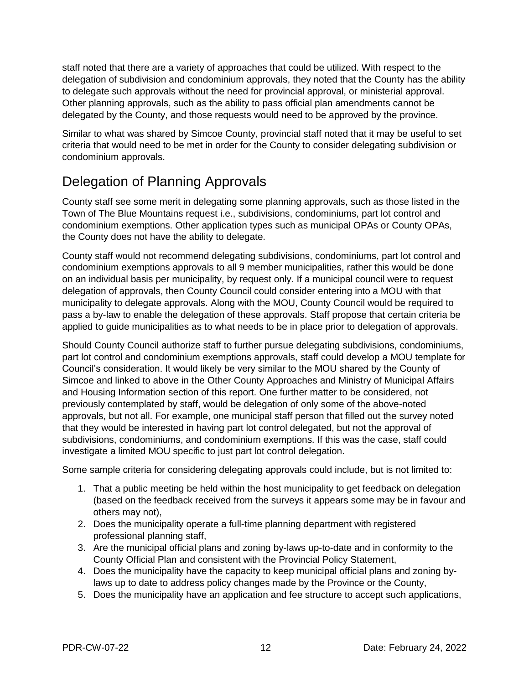staff noted that there are a variety of approaches that could be utilized. With respect to the delegation of subdivision and condominium approvals, they noted that the County has the ability to delegate such approvals without the need for provincial approval, or ministerial approval. Other planning approvals, such as the ability to pass official plan amendments cannot be delegated by the County, and those requests would need to be approved by the province.

Similar to what was shared by Simcoe County, provincial staff noted that it may be useful to set criteria that would need to be met in order for the County to consider delegating subdivision or condominium approvals.

# Delegation of Planning Approvals

County staff see some merit in delegating some planning approvals, such as those listed in the Town of The Blue Mountains request i.e., subdivisions, condominiums, part lot control and condominium exemptions. Other application types such as municipal OPAs or County OPAs, the County does not have the ability to delegate.

County staff would not recommend delegating subdivisions, condominiums, part lot control and condominium exemptions approvals to all 9 member municipalities, rather this would be done on an individual basis per municipality, by request only. If a municipal council were to request delegation of approvals, then County Council could consider entering into a MOU with that municipality to delegate approvals. Along with the MOU, County Council would be required to pass a by-law to enable the delegation of these approvals. Staff propose that certain criteria be applied to guide municipalities as to what needs to be in place prior to delegation of approvals.

Should County Council authorize staff to further pursue delegating subdivisions, condominiums, part lot control and condominium exemptions approvals, staff could develop a MOU template for Council's consideration. It would likely be very similar to the MOU shared by the County of Simcoe and linked to above in the Other County Approaches and Ministry of Municipal Affairs and Housing Information section of this report. One further matter to be considered, not previously contemplated by staff, would be delegation of only some of the above-noted approvals, but not all. For example, one municipal staff person that filled out the survey noted that they would be interested in having part lot control delegated, but not the approval of subdivisions, condominiums, and condominium exemptions. If this was the case, staff could investigate a limited MOU specific to just part lot control delegation.

Some sample criteria for considering delegating approvals could include, but is not limited to:

- 1. That a public meeting be held within the host municipality to get feedback on delegation (based on the feedback received from the surveys it appears some may be in favour and others may not),
- 2. Does the municipality operate a full-time planning department with registered professional planning staff,
- 3. Are the municipal official plans and zoning by-laws up-to-date and in conformity to the County Official Plan and consistent with the Provincial Policy Statement,
- 4. Does the municipality have the capacity to keep municipal official plans and zoning bylaws up to date to address policy changes made by the Province or the County,
- 5. Does the municipality have an application and fee structure to accept such applications,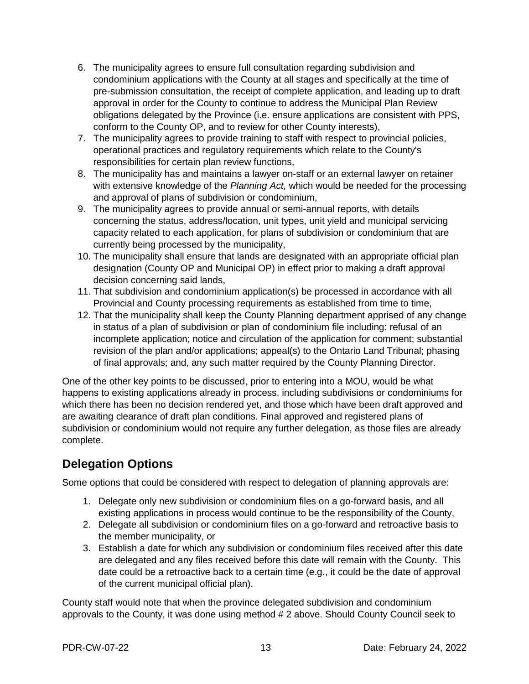- 6. The municipality agrees to ensure full consultation regarding subdivision and condominium applications with the County at all stages and specifically at the time of pre-submission consultation, the receipt of complete application, and leading up to draft approval in order for the County to continue to address the Municipal Plan Review obligations delegated by the Province (i.e. ensure applications are consistent with PPS, conform to the County OP, and to review for other County interests),
- 7. The municipality agrees to provide training to staff with respect to provincial policies, operational practices and regulatory requirements which relate to the County's responsibilities for certain plan review functions,
- 8. The municipality has and maintains a lawyer on-staff or an external lawyer on retainer with extensive knowledge of the *Planning Act,* which would be needed for the processing and approval of plans of subdivision or condominium,
- 9. The municipality agrees to provide annual or semi-annual reports, with details concerning the status, address/location, unit types, unit yield and municipal servicing capacity related to each application, for plans of subdivision or condominium that are currently being processed by the municipality,
- 10. The municipality shall ensure that lands are designated with an appropriate official plan designation (County OP and Municipal OP) in effect prior to making a draft approval decision concerning said lands,
- 11. That subdivision and condominium application(s) be processed in accordance with all Provincial and County processing requirements as established from time to time,
- 12. That the municipality shall keep the County Planning department apprised of any change in status of a plan of subdivision or plan of condominium file including: refusal of an incomplete application; notice and circulation of the application for comment; substantial revision of the plan and/or applications; appeal(s) to the Ontario Land Tribunal; phasing of final approvals; and, any such matter required by the County Planning Director.

One of the other key points to be discussed, prior to entering into a MOU, would be what happens to existing applications already in process, including subdivisions or condominiums for which there has been no decision rendered yet, and those which have been draft approved and are awaiting clearance of draft plan conditions. Final approved and registered plans of subdivision or condominium would not require any further delegation, as those files are already complete.

### **Delegation Options**

Some options that could be considered with respect to delegation of planning approvals are:

- 1. Delegate only new subdivision or condominium files on a go-forward basis, and all existing applications in process would continue to be the responsibility of the County,
- 2. Delegate all subdivision or condominium files on a go-forward and retroactive basis to the member municipality, or
- 3. Establish a date for which any subdivision or condominium files received after this date are delegated and any files received before this date will remain with the County. This date could be a retroactive back to a certain time (e.g., it could be the date of approval of the current municipal official plan).

County staff would note that when the province delegated subdivision and condominium approvals to the County, it was done using method # 2 above. Should County Council seek to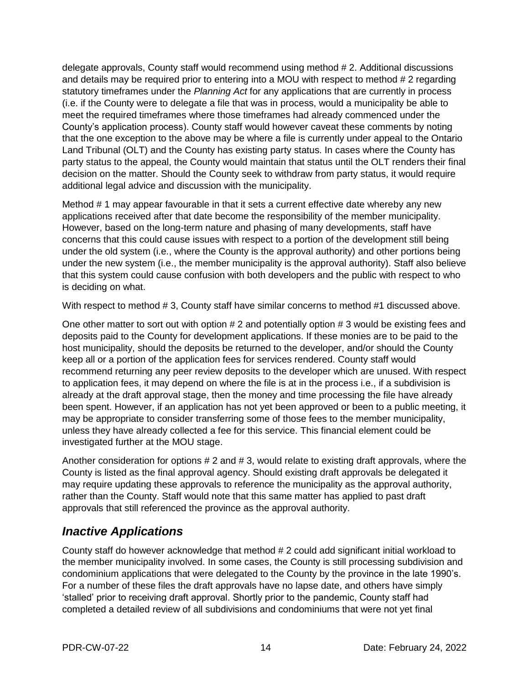delegate approvals, County staff would recommend using method # 2. Additional discussions and details may be required prior to entering into a MOU with respect to method # 2 regarding statutory timeframes under the *Planning Act* for any applications that are currently in process (i.e. if the County were to delegate a file that was in process, would a municipality be able to meet the required timeframes where those timeframes had already commenced under the County's application process). County staff would however caveat these comments by noting that the one exception to the above may be where a file is currently under appeal to the Ontario Land Tribunal (OLT) and the County has existing party status. In cases where the County has party status to the appeal, the County would maintain that status until the OLT renders their final decision on the matter. Should the County seek to withdraw from party status, it would require additional legal advice and discussion with the municipality.

Method # 1 may appear favourable in that it sets a current effective date whereby any new applications received after that date become the responsibility of the member municipality. However, based on the long-term nature and phasing of many developments, staff have concerns that this could cause issues with respect to a portion of the development still being under the old system (i.e., where the County is the approval authority) and other portions being under the new system (i.e., the member municipality is the approval authority). Staff also believe that this system could cause confusion with both developers and the public with respect to who is deciding on what.

With respect to method # 3, County staff have similar concerns to method #1 discussed above.

One other matter to sort out with option # 2 and potentially option # 3 would be existing fees and deposits paid to the County for development applications. If these monies are to be paid to the host municipality, should the deposits be returned to the developer, and/or should the County keep all or a portion of the application fees for services rendered. County staff would recommend returning any peer review deposits to the developer which are unused. With respect to application fees, it may depend on where the file is at in the process i.e., if a subdivision is already at the draft approval stage, then the money and time processing the file have already been spent. However, if an application has not yet been approved or been to a public meeting, it may be appropriate to consider transferring some of those fees to the member municipality, unless they have already collected a fee for this service. This financial element could be investigated further at the MOU stage.

Another consideration for options  $# 2$  and  $# 3$ , would relate to existing draft approvals, where the County is listed as the final approval agency. Should existing draft approvals be delegated it may require updating these approvals to reference the municipality as the approval authority, rather than the County. Staff would note that this same matter has applied to past draft approvals that still referenced the province as the approval authority.

### *Inactive Applications*

County staff do however acknowledge that method # 2 could add significant initial workload to the member municipality involved. In some cases, the County is still processing subdivision and condominium applications that were delegated to the County by the province in the late 1990's. For a number of these files the draft approvals have no lapse date, and others have simply 'stalled' prior to receiving draft approval. Shortly prior to the pandemic, County staff had completed a detailed review of all subdivisions and condominiums that were not yet final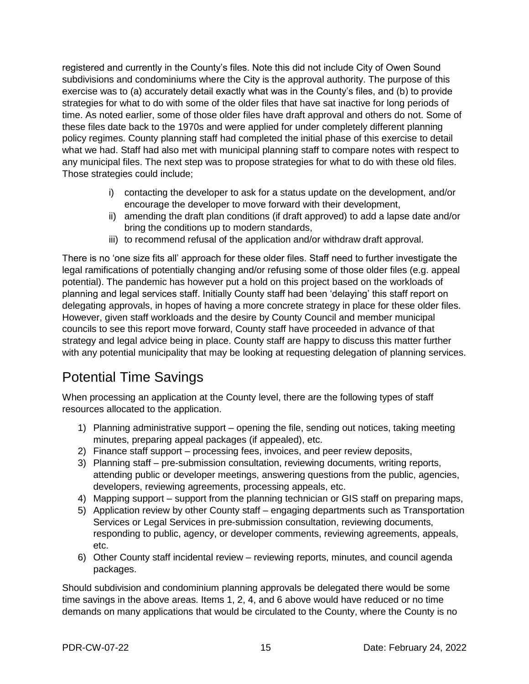registered and currently in the County's files. Note this did not include City of Owen Sound subdivisions and condominiums where the City is the approval authority. The purpose of this exercise was to (a) accurately detail exactly what was in the County's files, and (b) to provide strategies for what to do with some of the older files that have sat inactive for long periods of time. As noted earlier, some of those older files have draft approval and others do not. Some of these files date back to the 1970s and were applied for under completely different planning policy regimes. County planning staff had completed the initial phase of this exercise to detail what we had. Staff had also met with municipal planning staff to compare notes with respect to any municipal files. The next step was to propose strategies for what to do with these old files. Those strategies could include;

- i) contacting the developer to ask for a status update on the development, and/or encourage the developer to move forward with their development,
- ii) amending the draft plan conditions (if draft approved) to add a lapse date and/or bring the conditions up to modern standards,
- iii) to recommend refusal of the application and/or withdraw draft approval.

There is no 'one size fits all' approach for these older files. Staff need to further investigate the legal ramifications of potentially changing and/or refusing some of those older files (e.g. appeal potential). The pandemic has however put a hold on this project based on the workloads of planning and legal services staff. Initially County staff had been 'delaying' this staff report on delegating approvals, in hopes of having a more concrete strategy in place for these older files. However, given staff workloads and the desire by County Council and member municipal councils to see this report move forward, County staff have proceeded in advance of that strategy and legal advice being in place. County staff are happy to discuss this matter further with any potential municipality that may be looking at requesting delegation of planning services.

# Potential Time Savings

When processing an application at the County level, there are the following types of staff resources allocated to the application.

- 1) Planning administrative support opening the file, sending out notices, taking meeting minutes, preparing appeal packages (if appealed), etc.
- 2) Finance staff support processing fees, invoices, and peer review deposits,
- 3) Planning staff pre-submission consultation, reviewing documents, writing reports, attending public or developer meetings, answering questions from the public, agencies, developers, reviewing agreements, processing appeals, etc.
- 4) Mapping support support from the planning technician or GIS staff on preparing maps,
- 5) Application review by other County staff engaging departments such as Transportation Services or Legal Services in pre-submission consultation, reviewing documents, responding to public, agency, or developer comments, reviewing agreements, appeals, etc.
- 6) Other County staff incidental review reviewing reports, minutes, and council agenda packages.

Should subdivision and condominium planning approvals be delegated there would be some time savings in the above areas. Items 1, 2, 4, and 6 above would have reduced or no time demands on many applications that would be circulated to the County, where the County is no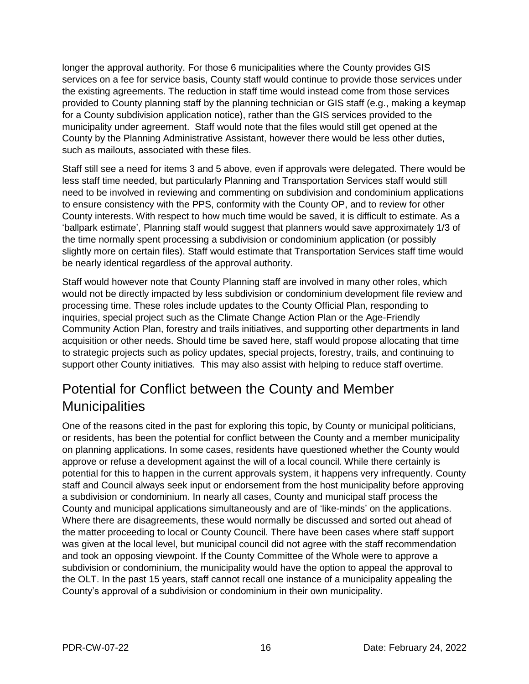longer the approval authority. For those 6 municipalities where the County provides GIS services on a fee for service basis, County staff would continue to provide those services under the existing agreements. The reduction in staff time would instead come from those services provided to County planning staff by the planning technician or GIS staff (e.g., making a keymap for a County subdivision application notice), rather than the GIS services provided to the municipality under agreement. Staff would note that the files would still get opened at the County by the Planning Administrative Assistant, however there would be less other duties, such as mailouts, associated with these files.

Staff still see a need for items 3 and 5 above, even if approvals were delegated. There would be less staff time needed, but particularly Planning and Transportation Services staff would still need to be involved in reviewing and commenting on subdivision and condominium applications to ensure consistency with the PPS, conformity with the County OP, and to review for other County interests. With respect to how much time would be saved, it is difficult to estimate. As a 'ballpark estimate', Planning staff would suggest that planners would save approximately 1/3 of the time normally spent processing a subdivision or condominium application (or possibly slightly more on certain files). Staff would estimate that Transportation Services staff time would be nearly identical regardless of the approval authority.

Staff would however note that County Planning staff are involved in many other roles, which would not be directly impacted by less subdivision or condominium development file review and processing time. These roles include updates to the County Official Plan, responding to inquiries, special project such as the Climate Change Action Plan or the Age-Friendly Community Action Plan, forestry and trails initiatives, and supporting other departments in land acquisition or other needs. Should time be saved here, staff would propose allocating that time to strategic projects such as policy updates, special projects, forestry, trails, and continuing to support other County initiatives. This may also assist with helping to reduce staff overtime.

# Potential for Conflict between the County and Member **Municipalities**

One of the reasons cited in the past for exploring this topic, by County or municipal politicians, or residents, has been the potential for conflict between the County and a member municipality on planning applications. In some cases, residents have questioned whether the County would approve or refuse a development against the will of a local council. While there certainly is potential for this to happen in the current approvals system, it happens very infrequently. County staff and Council always seek input or endorsement from the host municipality before approving a subdivision or condominium. In nearly all cases, County and municipal staff process the County and municipal applications simultaneously and are of 'like-minds' on the applications. Where there are disagreements, these would normally be discussed and sorted out ahead of the matter proceeding to local or County Council. There have been cases where staff support was given at the local level, but municipal council did not agree with the staff recommendation and took an opposing viewpoint. If the County Committee of the Whole were to approve a subdivision or condominium, the municipality would have the option to appeal the approval to the OLT. In the past 15 years, staff cannot recall one instance of a municipality appealing the County's approval of a subdivision or condominium in their own municipality.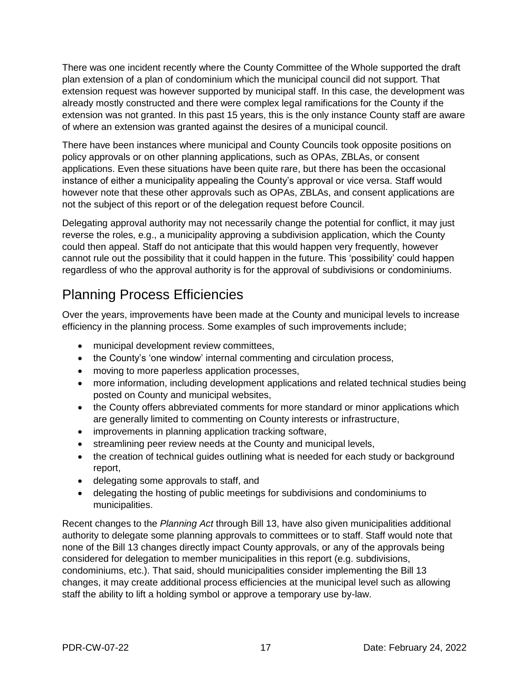There was one incident recently where the County Committee of the Whole supported the draft plan extension of a plan of condominium which the municipal council did not support. That extension request was however supported by municipal staff. In this case, the development was already mostly constructed and there were complex legal ramifications for the County if the extension was not granted. In this past 15 years, this is the only instance County staff are aware of where an extension was granted against the desires of a municipal council.

There have been instances where municipal and County Councils took opposite positions on policy approvals or on other planning applications, such as OPAs, ZBLAs, or consent applications. Even these situations have been quite rare, but there has been the occasional instance of either a municipality appealing the County's approval or vice versa. Staff would however note that these other approvals such as OPAs, ZBLAs, and consent applications are not the subject of this report or of the delegation request before Council.

Delegating approval authority may not necessarily change the potential for conflict, it may just reverse the roles, e.g., a municipality approving a subdivision application, which the County could then appeal. Staff do not anticipate that this would happen very frequently, however cannot rule out the possibility that it could happen in the future. This 'possibility' could happen regardless of who the approval authority is for the approval of subdivisions or condominiums.

# Planning Process Efficiencies

Over the years, improvements have been made at the County and municipal levels to increase efficiency in the planning process. Some examples of such improvements include;

- municipal development review committees,
- the County's 'one window' internal commenting and circulation process,
- moving to more paperless application processes,
- more information, including development applications and related technical studies being posted on County and municipal websites,
- the County offers abbreviated comments for more standard or minor applications which are generally limited to commenting on County interests or infrastructure,
- improvements in planning application tracking software,
- streamlining peer review needs at the County and municipal levels,
- the creation of technical guides outlining what is needed for each study or background report,
- delegating some approvals to staff, and
- delegating the hosting of public meetings for subdivisions and condominiums to municipalities.

Recent changes to the *Planning Act* through Bill 13, have also given municipalities additional authority to delegate some planning approvals to committees or to staff. Staff would note that none of the Bill 13 changes directly impact County approvals, or any of the approvals being considered for delegation to member municipalities in this report (e.g. subdivisions, condominiums, etc.). That said, should municipalities consider implementing the Bill 13 changes, it may create additional process efficiencies at the municipal level such as allowing staff the ability to lift a holding symbol or approve a temporary use by-law.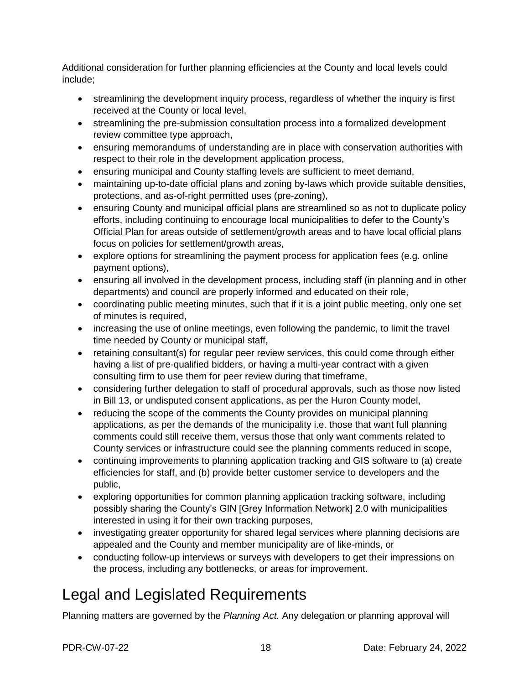Additional consideration for further planning efficiencies at the County and local levels could include;

- streamlining the development inquiry process, regardless of whether the inquiry is first received at the County or local level,
- streamlining the pre-submission consultation process into a formalized development review committee type approach,
- ensuring memorandums of understanding are in place with conservation authorities with respect to their role in the development application process,
- ensuring municipal and County staffing levels are sufficient to meet demand,
- maintaining up-to-date official plans and zoning by-laws which provide suitable densities, protections, and as-of-right permitted uses (pre-zoning),
- ensuring County and municipal official plans are streamlined so as not to duplicate policy efforts, including continuing to encourage local municipalities to defer to the County's Official Plan for areas outside of settlement/growth areas and to have local official plans focus on policies for settlement/growth areas,
- explore options for streamlining the payment process for application fees (e.g. online payment options),
- ensuring all involved in the development process, including staff (in planning and in other departments) and council are properly informed and educated on their role,
- coordinating public meeting minutes, such that if it is a joint public meeting, only one set of minutes is required,
- increasing the use of online meetings, even following the pandemic, to limit the travel time needed by County or municipal staff,
- retaining consultant(s) for regular peer review services, this could come through either having a list of pre-qualified bidders, or having a multi-year contract with a given consulting firm to use them for peer review during that timeframe,
- considering further delegation to staff of procedural approvals, such as those now listed in Bill 13, or undisputed consent applications, as per the Huron County model,
- reducing the scope of the comments the County provides on municipal planning applications, as per the demands of the municipality i.e. those that want full planning comments could still receive them, versus those that only want comments related to County services or infrastructure could see the planning comments reduced in scope,
- continuing improvements to planning application tracking and GIS software to (a) create efficiencies for staff, and (b) provide better customer service to developers and the public,
- exploring opportunities for common planning application tracking software, including possibly sharing the County's GIN [Grey Information Network] 2.0 with municipalities interested in using it for their own tracking purposes,
- investigating greater opportunity for shared legal services where planning decisions are appealed and the County and member municipality are of like-minds, or
- conducting follow-up interviews or surveys with developers to get their impressions on the process, including any bottlenecks, or areas for improvement.

# Legal and Legislated Requirements

Planning matters are governed by the *Planning Act.* Any delegation or planning approval will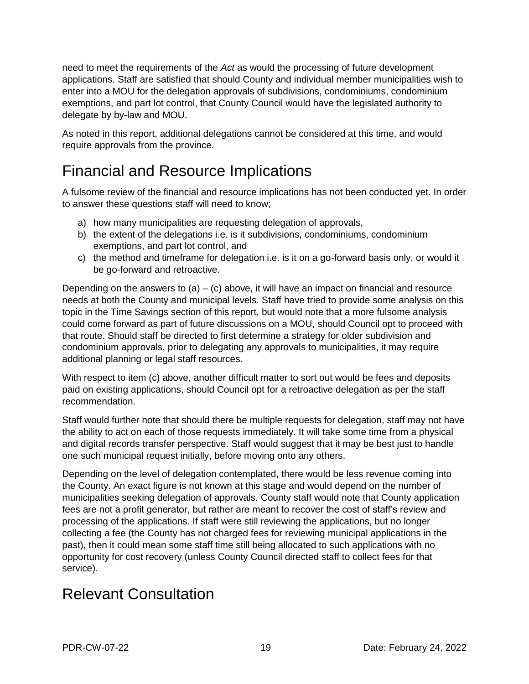need to meet the requirements of the *Act* as would the processing of future development applications. Staff are satisfied that should County and individual member municipalities wish to enter into a MOU for the delegation approvals of subdivisions, condominiums, condominium exemptions, and part lot control, that County Council would have the legislated authority to delegate by by-law and MOU.

As noted in this report, additional delegations cannot be considered at this time, and would require approvals from the province.

# Financial and Resource Implications

A fulsome review of the financial and resource implications has not been conducted yet. In order to answer these questions staff will need to know;

- a) how many municipalities are requesting delegation of approvals,
- b) the extent of the delegations i.e. is it subdivisions, condominiums, condominium exemptions, and part lot control, and
- c) the method and timeframe for delegation i.e. is it on a go-forward basis only, or would it be go-forward and retroactive.

Depending on the answers to  $(a) - (c)$  above, it will have an impact on financial and resource needs at both the County and municipal levels. Staff have tried to provide some analysis on this topic in the Time Savings section of this report, but would note that a more fulsome analysis could come forward as part of future discussions on a MOU, should Council opt to proceed with that route. Should staff be directed to first determine a strategy for older subdivision and condominium approvals, prior to delegating any approvals to municipalities, it may require additional planning or legal staff resources.

With respect to item (c) above, another difficult matter to sort out would be fees and deposits paid on existing applications, should Council opt for a retroactive delegation as per the staff recommendation.

Staff would further note that should there be multiple requests for delegation, staff may not have the ability to act on each of those requests immediately. It will take some time from a physical and digital records transfer perspective. Staff would suggest that it may be best just to handle one such municipal request initially, before moving onto any others.

Depending on the level of delegation contemplated, there would be less revenue coming into the County. An exact figure is not known at this stage and would depend on the number of municipalities seeking delegation of approvals. County staff would note that County application fees are not a profit generator, but rather are meant to recover the cost of staff's review and processing of the applications. If staff were still reviewing the applications, but no longer collecting a fee (the County has not charged fees for reviewing municipal applications in the past), then it could mean some staff time still being allocated to such applications with no opportunity for cost recovery (unless County Council directed staff to collect fees for that service).

# Relevant Consultation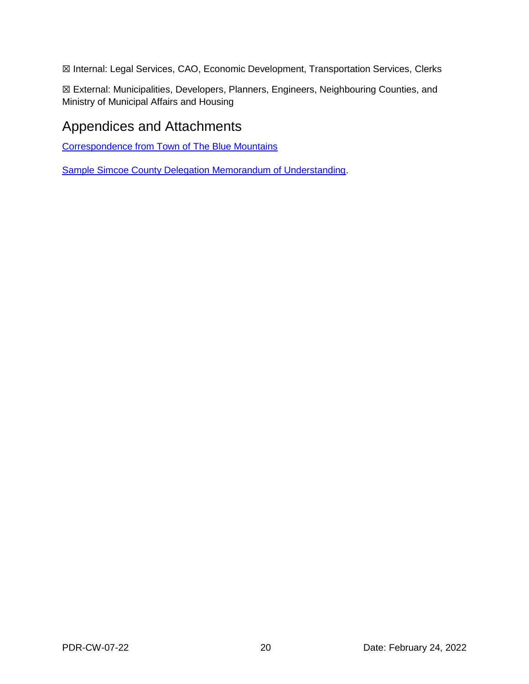☒ Internal: Legal Services, CAO, Economic Development, Transportation Services, Clerks

☒ External: Municipalities, Developers, Planners, Engineers, Neighbouring Counties, and Ministry of Municipal Affairs and Housing

### Appendices and Attachments

[Correspondence from Town of The Blue Mountains](https://council.grey.ca/meeting/getPDFRendition?documentObjectId=50f4ecb4-385f-4636-a179-c93d92ee3e5d)

[Sample Simcoe County Delegation Memorandum of Understanding.](https://simcoe.civicweb.net/document/67319/CCW%202019-259%20Schedule%202.pdf?handle=D234E3FD6DAE46ADBCB50BAFCF43712A)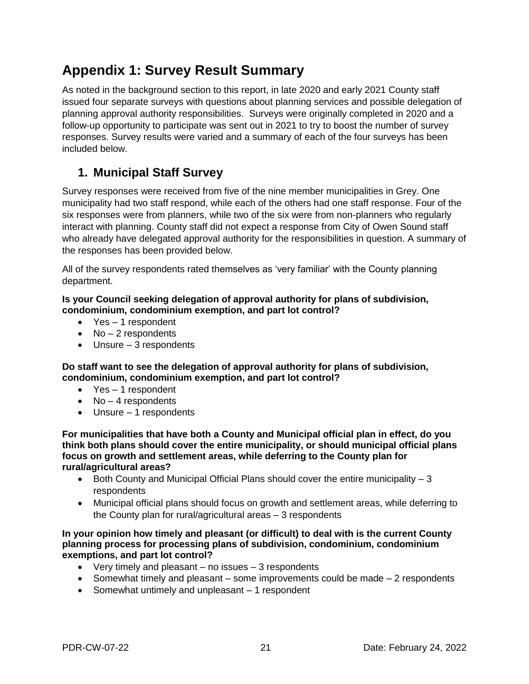# **Appendix 1: Survey Result Summary**

As noted in the background section to this report, in late 2020 and early 2021 County staff issued four separate surveys with questions about planning services and possible delegation of planning approval authority responsibilities. Surveys were originally completed in 2020 and a follow-up opportunity to participate was sent out in 2021 to try to boost the number of survey responses. Survey results were varied and a summary of each of the four surveys has been included below.

### **1. Municipal Staff Survey**

Survey responses were received from five of the nine member municipalities in Grey. One municipality had two staff respond, while each of the others had one staff response. Four of the six responses were from planners, while two of the six were from non-planners who regularly interact with planning. County staff did not expect a response from City of Owen Sound staff who already have delegated approval authority for the responsibilities in question. A summary of the responses has been provided below.

All of the survey respondents rated themselves as 'very familiar' with the County planning department.

#### **Is your Council seeking delegation of approval authority for plans of subdivision, condominium, condominium exemption, and part lot control?**

- Yes 1 respondent
- $\bullet$  No  $-$  2 respondents
- Unsure 3 respondents

**Do staff want to see the delegation of approval authority for plans of subdivision, condominium, condominium exemption, and part lot control?**

- Yes 1 respondent
- $\bullet$  No  $-$  4 respondents
- Unsure 1 respondents

**For municipalities that have both a County and Municipal official plan in effect, do you think both plans should cover the entire municipality, or should municipal official plans focus on growth and settlement areas, while deferring to the County plan for rural/agricultural areas?**

- $\bullet$  Both County and Municipal Official Plans should cover the entire municipality  $-3$ respondents
- Municipal official plans should focus on growth and settlement areas, while deferring to the County plan for rural/agricultural areas – 3 respondents

#### **In your opinion how timely and pleasant (or difficult) to deal with is the current County planning process for processing plans of subdivision, condominium, condominium exemptions, and part lot control?**

- $\bullet$  Very timely and pleasant no issues 3 respondents
- Somewhat timely and pleasant some improvements could be made  $-2$  respondents
- Somewhat untimely and unpleasant 1 respondent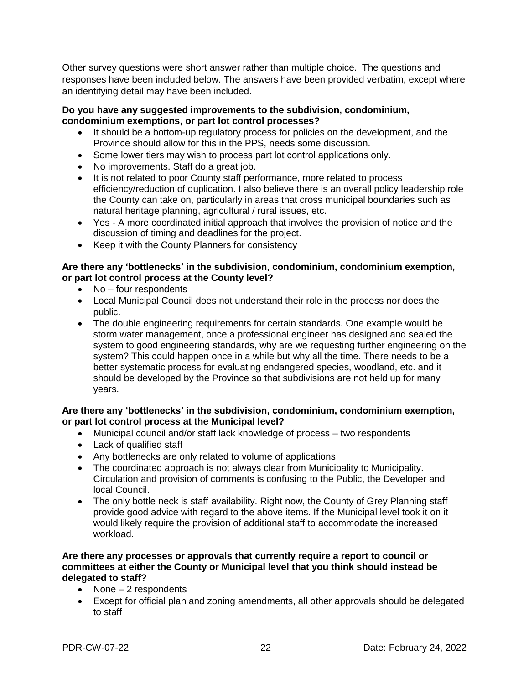Other survey questions were short answer rather than multiple choice. The questions and responses have been included below. The answers have been provided verbatim, except where an identifying detail may have been included.

#### **Do you have any suggested improvements to the subdivision, condominium, condominium exemptions, or part lot control processes?**

- It should be a bottom-up regulatory process for policies on the development, and the Province should allow for this in the PPS, needs some discussion.
- Some lower tiers may wish to process part lot control applications only.
- No improvements. Staff do a great job.
- It is not related to poor County staff performance, more related to process efficiency/reduction of duplication. I also believe there is an overall policy leadership role the County can take on, particularly in areas that cross municipal boundaries such as natural heritage planning, agricultural / rural issues, etc.
- Yes A more coordinated initial approach that involves the provision of notice and the discussion of timing and deadlines for the project.
- Keep it with the County Planners for consistency

#### **Are there any 'bottlenecks' in the subdivision, condominium, condominium exemption, or part lot control process at the County level?**

- No four respondents
- Local Municipal Council does not understand their role in the process nor does the public.
- The double engineering requirements for certain standards. One example would be storm water management, once a professional engineer has designed and sealed the system to good engineering standards, why are we requesting further engineering on the system? This could happen once in a while but why all the time. There needs to be a better systematic process for evaluating endangered species, woodland, etc. and it should be developed by the Province so that subdivisions are not held up for many years.

#### **Are there any 'bottlenecks' in the subdivision, condominium, condominium exemption, or part lot control process at the Municipal level?**

- Municipal council and/or staff lack knowledge of process two respondents
- Lack of qualified staff
- Any bottlenecks are only related to volume of applications
- The coordinated approach is not always clear from Municipality to Municipality. Circulation and provision of comments is confusing to the Public, the Developer and local Council.
- The only bottle neck is staff availability. Right now, the County of Grey Planning staff provide good advice with regard to the above items. If the Municipal level took it on it would likely require the provision of additional staff to accommodate the increased workload.

#### **Are there any processes or approvals that currently require a report to council or committees at either the County or Municipal level that you think should instead be delegated to staff?**

- None 2 respondents
- Except for official plan and zoning amendments, all other approvals should be delegated to staff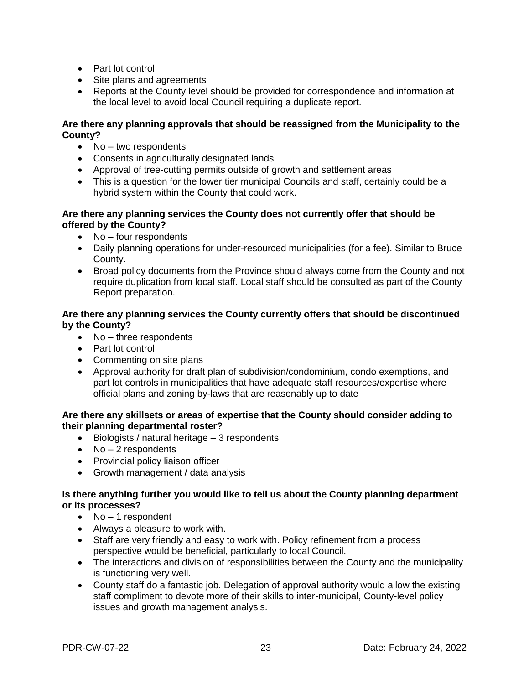- Part lot control
- Site plans and agreements
- Reports at the County level should be provided for correspondence and information at the local level to avoid local Council requiring a duplicate report.

#### **Are there any planning approvals that should be reassigned from the Municipality to the County?**

- $\bullet$  No two respondents
- Consents in agriculturally designated lands
- Approval of tree-cutting permits outside of growth and settlement areas
- This is a question for the lower tier municipal Councils and staff, certainly could be a hybrid system within the County that could work.

#### **Are there any planning services the County does not currently offer that should be offered by the County?**

- No four respondents
- Daily planning operations for under-resourced municipalities (for a fee). Similar to Bruce County.
- Broad policy documents from the Province should always come from the County and not require duplication from local staff. Local staff should be consulted as part of the County Report preparation.

#### **Are there any planning services the County currently offers that should be discontinued by the County?**

- No three respondents
- Part lot control
- Commenting on site plans
- Approval authority for draft plan of subdivision/condominium, condo exemptions, and part lot controls in municipalities that have adequate staff resources/expertise where official plans and zoning by-laws that are reasonably up to date

#### **Are there any skillsets or areas of expertise that the County should consider adding to their planning departmental roster?**

- $\bullet$  Biologists / natural heritage  $-3$  respondents
- $\bullet$  No 2 respondents
- Provincial policy liaison officer
- Growth management / data analysis

#### **Is there anything further you would like to tell us about the County planning department or its processes?**

- $\bullet$  No 1 respondent
- Always a pleasure to work with.
- Staff are very friendly and easy to work with. Policy refinement from a process perspective would be beneficial, particularly to local Council.
- The interactions and division of responsibilities between the County and the municipality is functioning very well.
- County staff do a fantastic job. Delegation of approval authority would allow the existing staff compliment to devote more of their skills to inter-municipal, County-level policy issues and growth management analysis.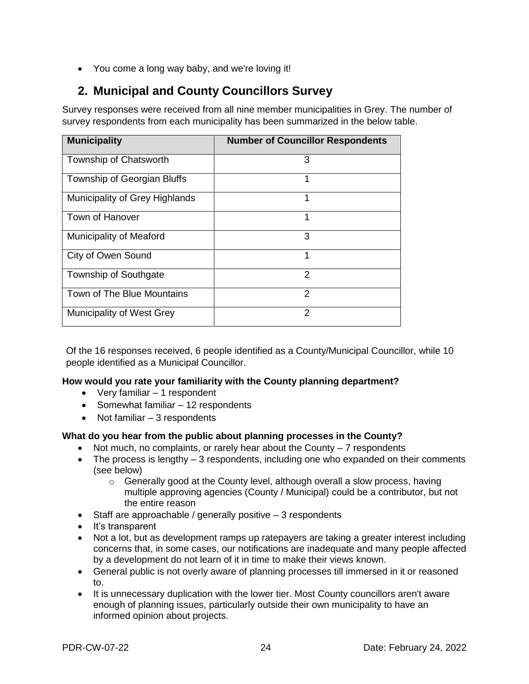You come a long way baby, and we're loving it!

### **2. Municipal and County Councillors Survey**

Survey responses were received from all nine member municipalities in Grey. The number of survey respondents from each municipality has been summarized in the below table.

| <b>Municipality</b>            | <b>Number of Councillor Respondents</b> |
|--------------------------------|-----------------------------------------|
|                                |                                         |
| Township of Chatsworth         | 3                                       |
| Township of Georgian Bluffs    | 1                                       |
| Municipality of Grey Highlands | 1                                       |
| <b>Town of Hanover</b>         | 1                                       |
| <b>Municipality of Meaford</b> | 3                                       |
| City of Owen Sound             | 1                                       |
| <b>Township of Southgate</b>   | 2                                       |
| Town of The Blue Mountains     | $\mathcal{P}$                           |
| Municipality of West Grey      | 2                                       |

Of the 16 responses received, 6 people identified as a County/Municipal Councillor, while 10 people identified as a Municipal Councillor.

#### **How would you rate your familiarity with the County planning department?**

- $\bullet$  Very familiar  $-1$  respondent
- Somewhat familiar 12 respondents
- $\bullet$  Not familiar  $-3$  respondents

#### **What do you hear from the public about planning processes in the County?**

- $\bullet$  Not much, no complaints, or rarely hear about the County  $-7$  respondents
- $\bullet$  The process is lengthy  $-3$  respondents, including one who expanded on their comments (see below)
	- $\circ$  Generally good at the County level, although overall a slow process, having multiple approving agencies (County / Municipal) could be a contributor, but not the entire reason
- $\bullet$  Staff are approachable / generally positive  $-3$  respondents
- It's transparent
- Not a lot, but as development ramps up ratepayers are taking a greater interest including concerns that, in some cases, our notifications are inadequate and many people affected by a development do not learn of it in time to make their views known.
- General public is not overly aware of planning processes till immersed in it or reasoned to.
- It is unnecessary duplication with the lower tier. Most County councillors aren't aware enough of planning issues, particularly outside their own municipality to have an informed opinion about projects.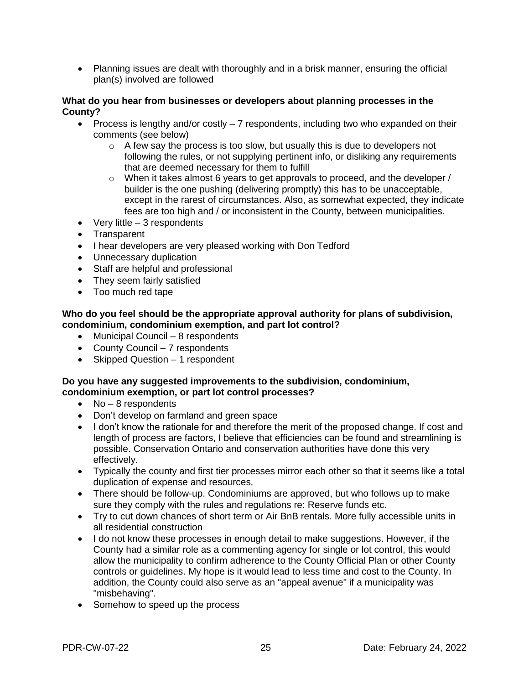• Planning issues are dealt with thoroughly and in a brisk manner, ensuring the official plan(s) involved are followed

#### **What do you hear from businesses or developers about planning processes in the County?**

- Process is lengthy and/or costly  $-7$  respondents, including two who expanded on their comments (see below)
	- o A few say the process is too slow, but usually this is due to developers not following the rules, or not supplying pertinent info, or disliking any requirements that are deemed necessary for them to fulfill
	- $\circ$  When it takes almost 6 years to get approvals to proceed, and the developer / builder is the one pushing (delivering promptly) this has to be unacceptable, except in the rarest of circumstances. Also, as somewhat expected, they indicate fees are too high and / or inconsistent in the County, between municipalities.
- $\bullet$  Very little  $-3$  respondents
- Transparent
- I hear developers are very pleased working with Don Tedford
- Unnecessary duplication
- Staff are helpful and professional
- They seem fairly satisfied
- Too much red tape

#### **Who do you feel should be the appropriate approval authority for plans of subdivision, condominium, condominium exemption, and part lot control?**

- Municipal Council 8 respondents
- County Council 7 respondents
- Skipped Question 1 respondent

#### **Do you have any suggested improvements to the subdivision, condominium, condominium exemption, or part lot control processes?**

- $\bullet$  No 8 respondents
- Don't develop on farmland and green space
- I don't know the rationale for and therefore the merit of the proposed change. If cost and length of process are factors, I believe that efficiencies can be found and streamlining is possible. Conservation Ontario and conservation authorities have done this very effectively.
- Typically the county and first tier processes mirror each other so that it seems like a total duplication of expense and resources.
- There should be follow-up. Condominiums are approved, but who follows up to make sure they comply with the rules and regulations re: Reserve funds etc.
- Try to cut down chances of short term or Air BnB rentals. More fully accessible units in all residential construction
- I do not know these processes in enough detail to make suggestions. However, if the County had a similar role as a commenting agency for single or lot control, this would allow the municipality to confirm adherence to the County Official Plan or other County controls or guidelines. My hope is it would lead to less time and cost to the County. In addition, the County could also serve as an "appeal avenue" if a municipality was "misbehaving".
- Somehow to speed up the process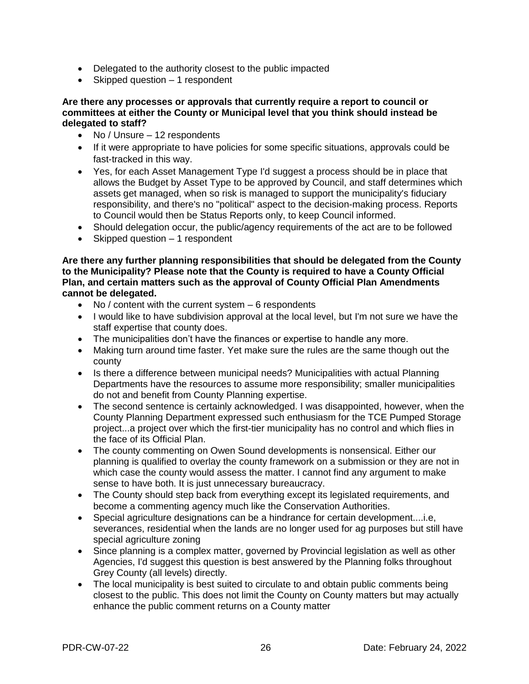- Delegated to the authority closest to the public impacted
- Skipped question  $-1$  respondent

#### **Are there any processes or approvals that currently require a report to council or committees at either the County or Municipal level that you think should instead be delegated to staff?**

- No / Unsure 12 respondents
- If it were appropriate to have policies for some specific situations, approvals could be fast-tracked in this way.
- Yes, for each Asset Management Type I'd suggest a process should be in place that allows the Budget by Asset Type to be approved by Council, and staff determines which assets get managed, when so risk is managed to support the municipality's fiduciary responsibility, and there's no "political" aspect to the decision-making process. Reports to Council would then be Status Reports only, to keep Council informed.
- Should delegation occur, the public/agency requirements of the act are to be followed
- Skipped question 1 respondent

**Are there any further planning responsibilities that should be delegated from the County to the Municipality? Please note that the County is required to have a County Official Plan, and certain matters such as the approval of County Official Plan Amendments cannot be delegated.**

- $\bullet$  No / content with the current system  $-6$  respondents
- I would like to have subdivision approval at the local level, but I'm not sure we have the staff expertise that county does.
- The municipalities don't have the finances or expertise to handle any more.
- Making turn around time faster. Yet make sure the rules are the same though out the county
- Is there a difference between municipal needs? Municipalities with actual Planning Departments have the resources to assume more responsibility; smaller municipalities do not and benefit from County Planning expertise.
- The second sentence is certainly acknowledged. I was disappointed, however, when the County Planning Department expressed such enthusiasm for the TCE Pumped Storage project...a project over which the first-tier municipality has no control and which flies in the face of its Official Plan.
- The county commenting on Owen Sound developments is nonsensical. Either our planning is qualified to overlay the county framework on a submission or they are not in which case the county would assess the matter. I cannot find any argument to make sense to have both. It is just unnecessary bureaucracy.
- The County should step back from everything except its legislated requirements, and become a commenting agency much like the Conservation Authorities.
- Special agriculture designations can be a hindrance for certain development....i.e, severances, residential when the lands are no longer used for ag purposes but still have special agriculture zoning
- Since planning is a complex matter, governed by Provincial legislation as well as other Agencies, I'd suggest this question is best answered by the Planning folks throughout Grey County (all levels) directly.
- The local municipality is best suited to circulate to and obtain public comments being closest to the public. This does not limit the County on County matters but may actually enhance the public comment returns on a County matter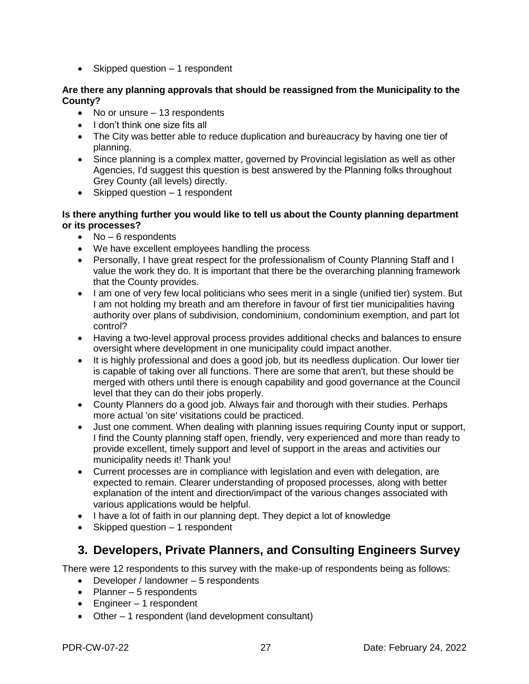• Skipped question – 1 respondent

#### **Are there any planning approvals that should be reassigned from the Municipality to the County?**

- No or unsure 13 respondents
- I don't think one size fits all
- The City was better able to reduce duplication and bureaucracy by having one tier of planning.
- Since planning is a complex matter, governed by Provincial legislation as well as other Agencies, I'd suggest this question is best answered by the Planning folks throughout Grey County (all levels) directly.
- Skipped question 1 respondent

#### **Is there anything further you would like to tell us about the County planning department or its processes?**

- $\bullet$  No 6 respondents
- We have excellent employees handling the process
- Personally, I have great respect for the professionalism of County Planning Staff and I value the work they do. It is important that there be the overarching planning framework that the County provides.
- I am one of very few local politicians who sees merit in a single (unified tier) system. But I am not holding my breath and am therefore in favour of first tier municipalities having authority over plans of subdivision, condominium, condominium exemption, and part lot control?
- Having a two-level approval process provides additional checks and balances to ensure oversight where development in one municipality could impact another.
- It is highly professional and does a good job, but its needless duplication. Our lower tier is capable of taking over all functions. There are some that aren't, but these should be merged with others until there is enough capability and good governance at the Council level that they can do their jobs properly.
- County Planners do a good job. Always fair and thorough with their studies. Perhaps more actual 'on site' visitations could be practiced.
- Just one comment. When dealing with planning issues requiring County input or support, I find the County planning staff open, friendly, very experienced and more than ready to provide excellent, timely support and level of support in the areas and activities our municipality needs it! Thank you!
- Current processes are in compliance with legislation and even with delegation, are expected to remain. Clearer understanding of proposed processes, along with better explanation of the intent and direction/impact of the various changes associated with various applications would be helpful.
- I have a lot of faith in our planning dept. They depict a lot of knowledge
- Skipped question 1 respondent

### **3. Developers, Private Planners, and Consulting Engineers Survey**

There were 12 respondents to this survey with the make-up of respondents being as follows:

- Developer / landowner 5 respondents
- $\bullet$  Planner 5 respondents
- Engineer 1 respondent
- Other 1 respondent (land development consultant)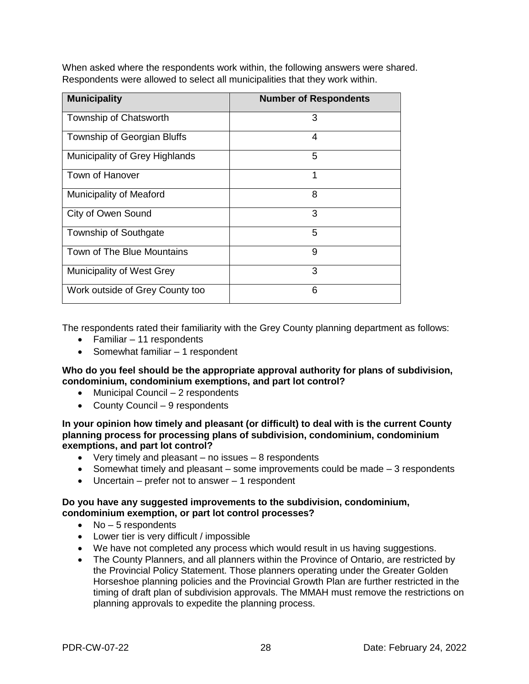When asked where the respondents work within, the following answers were shared. Respondents were allowed to select all municipalities that they work within.

| <b>Municipality</b>             | <b>Number of Respondents</b> |
|---------------------------------|------------------------------|
| Township of Chatsworth          | 3                            |
| Township of Georgian Bluffs     | 4                            |
| Municipality of Grey Highlands  | 5                            |
| Town of Hanover                 | 1                            |
| <b>Municipality of Meaford</b>  | 8                            |
| City of Owen Sound              | 3                            |
| Township of Southgate           | 5                            |
| Town of The Blue Mountains      | 9                            |
| Municipality of West Grey       | 3                            |
| Work outside of Grey County too | 6                            |

The respondents rated their familiarity with the Grey County planning department as follows:

- Familiar 11 respondents
- Somewhat familiar 1 respondent

**Who do you feel should be the appropriate approval authority for plans of subdivision, condominium, condominium exemptions, and part lot control?** 

- Municipal Council 2 respondents
- County Council 9 respondents

**In your opinion how timely and pleasant (or difficult) to deal with is the current County planning process for processing plans of subdivision, condominium, condominium exemptions, and part lot control?** 

- Very timely and pleasant no issues 8 respondents
- Somewhat timely and pleasant some improvements could be made 3 respondents
- Uncertain prefer not to answer 1 respondent

#### **Do you have any suggested improvements to the subdivision, condominium, condominium exemption, or part lot control processes?**

- $\bullet$  No  $-5$  respondents
- Lower tier is very difficult / impossible
- We have not completed any process which would result in us having suggestions.
- The County Planners, and all planners within the Province of Ontario, are restricted by the Provincial Policy Statement. Those planners operating under the Greater Golden Horseshoe planning policies and the Provincial Growth Plan are further restricted in the timing of draft plan of subdivision approvals. The MMAH must remove the restrictions on planning approvals to expedite the planning process.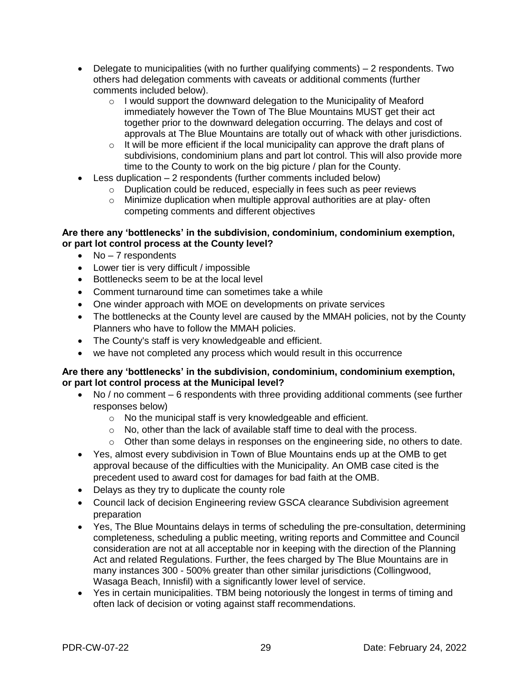- Delegate to municipalities (with no further qualifying comments) 2 respondents. Two others had delegation comments with caveats or additional comments (further comments included below).
	- o I would support the downward delegation to the Municipality of Meaford immediately however the Town of The Blue Mountains MUST get their act together prior to the downward delegation occurring. The delays and cost of approvals at The Blue Mountains are totally out of whack with other jurisdictions.
	- o It will be more efficient if the local municipality can approve the draft plans of subdivisions, condominium plans and part lot control. This will also provide more time to the County to work on the big picture / plan for the County.
- Less duplication 2 respondents (further comments included below)
	- o Duplication could be reduced, especially in fees such as peer reviews
	- o Minimize duplication when multiple approval authorities are at play- often competing comments and different objectives

#### **Are there any 'bottlenecks' in the subdivision, condominium, condominium exemption, or part lot control process at the County level?**

- $\bullet$  No  $-7$  respondents
- Lower tier is very difficult / impossible
- Bottlenecks seem to be at the local level
- Comment turnaround time can sometimes take a while
- One winder approach with MOE on developments on private services
- The bottlenecks at the County level are caused by the MMAH policies, not by the County Planners who have to follow the MMAH policies.
- The County's staff is very knowledgeable and efficient.
- we have not completed any process which would result in this occurrence

#### **Are there any 'bottlenecks' in the subdivision, condominium, condominium exemption, or part lot control process at the Municipal level?**

- No / no comment 6 respondents with three providing additional comments (see further responses below)
	- o No the municipal staff is very knowledgeable and efficient.
	- o No, other than the lack of available staff time to deal with the process.
	- o Other than some delays in responses on the engineering side, no others to date.
- Yes, almost every subdivision in Town of Blue Mountains ends up at the OMB to get approval because of the difficulties with the Municipality. An OMB case cited is the precedent used to award cost for damages for bad faith at the OMB.
- Delays as they try to duplicate the county role
- Council lack of decision Engineering review GSCA clearance Subdivision agreement preparation
- Yes, The Blue Mountains delays in terms of scheduling the pre-consultation, determining completeness, scheduling a public meeting, writing reports and Committee and Council consideration are not at all acceptable nor in keeping with the direction of the Planning Act and related Regulations. Further, the fees charged by The Blue Mountains are in many instances 300 - 500% greater than other similar jurisdictions (Collingwood, Wasaga Beach, Innisfil) with a significantly lower level of service.
- Yes in certain municipalities. TBM being notoriously the longest in terms of timing and often lack of decision or voting against staff recommendations.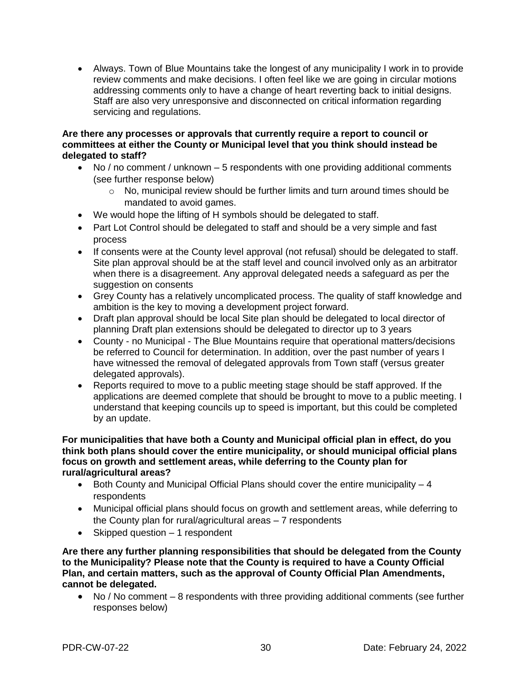Always. Town of Blue Mountains take the longest of any municipality I work in to provide review comments and make decisions. I often feel like we are going in circular motions addressing comments only to have a change of heart reverting back to initial designs. Staff are also very unresponsive and disconnected on critical information regarding servicing and regulations.

#### **Are there any processes or approvals that currently require a report to council or committees at either the County or Municipal level that you think should instead be delegated to staff?**

- $\bullet$  No / no comment / unknown  $-5$  respondents with one providing additional comments (see further response below)
	- $\circ$  No, municipal review should be further limits and turn around times should be mandated to avoid games.
- We would hope the lifting of H symbols should be delegated to staff.
- Part Lot Control should be delegated to staff and should be a very simple and fast process
- If consents were at the County level approval (not refusal) should be delegated to staff. Site plan approval should be at the staff level and council involved only as an arbitrator when there is a disagreement. Any approval delegated needs a safeguard as per the suggestion on consents
- Grey County has a relatively uncomplicated process. The quality of staff knowledge and ambition is the key to moving a development project forward.
- Draft plan approval should be local Site plan should be delegated to local director of planning Draft plan extensions should be delegated to director up to 3 years
- County no Municipal The Blue Mountains require that operational matters/decisions be referred to Council for determination. In addition, over the past number of years I have witnessed the removal of delegated approvals from Town staff (versus greater delegated approvals).
- Reports required to move to a public meeting stage should be staff approved. If the applications are deemed complete that should be brought to move to a public meeting. I understand that keeping councils up to speed is important, but this could be completed by an update.

#### **For municipalities that have both a County and Municipal official plan in effect, do you think both plans should cover the entire municipality, or should municipal official plans focus on growth and settlement areas, while deferring to the County plan for rural/agricultural areas?**

- $\bullet$  Both County and Municipal Official Plans should cover the entire municipality  $-4$ respondents
- Municipal official plans should focus on growth and settlement areas, while deferring to the County plan for rural/agricultural areas – 7 respondents
- $\bullet$  Skipped question  $-1$  respondent

**Are there any further planning responsibilities that should be delegated from the County to the Municipality? Please note that the County is required to have a County Official Plan, and certain matters, such as the approval of County Official Plan Amendments, cannot be delegated.**

• No / No comment – 8 respondents with three providing additional comments (see further responses below)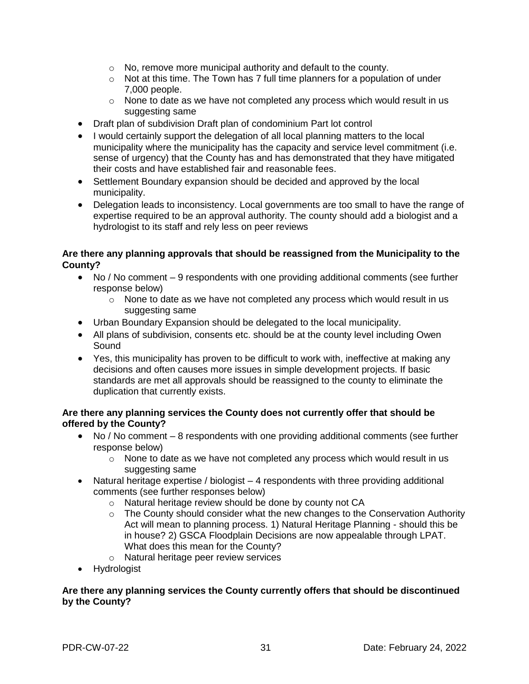- o No, remove more municipal authority and default to the county.
- $\circ$  Not at this time. The Town has 7 full time planners for a population of under 7,000 people.
- $\circ$  None to date as we have not completed any process which would result in us suggesting same
- Draft plan of subdivision Draft plan of condominium Part lot control
- I would certainly support the delegation of all local planning matters to the local municipality where the municipality has the capacity and service level commitment (i.e. sense of urgency) that the County has and has demonstrated that they have mitigated their costs and have established fair and reasonable fees.
- Settlement Boundary expansion should be decided and approved by the local municipality.
- Delegation leads to inconsistency. Local governments are too small to have the range of expertise required to be an approval authority. The county should add a biologist and a hydrologist to its staff and rely less on peer reviews

#### **Are there any planning approvals that should be reassigned from the Municipality to the County?**

- No / No comment 9 respondents with one providing additional comments (see further response below)
	- o None to date as we have not completed any process which would result in us suggesting same
- Urban Boundary Expansion should be delegated to the local municipality.
- All plans of subdivision, consents etc. should be at the county level including Owen **Sound**
- Yes, this municipality has proven to be difficult to work with, ineffective at making any decisions and often causes more issues in simple development projects. If basic standards are met all approvals should be reassigned to the county to eliminate the duplication that currently exists.

#### **Are there any planning services the County does not currently offer that should be offered by the County?**

- No / No comment 8 respondents with one providing additional comments (see further response below)
	- $\circ$  None to date as we have not completed any process which would result in us suggesting same
- Natural heritage expertise / biologist 4 respondents with three providing additional comments (see further responses below)
	- o Natural heritage review should be done by county not CA
	- o The County should consider what the new changes to the Conservation Authority Act will mean to planning process. 1) Natural Heritage Planning - should this be in house? 2) GSCA Floodplain Decisions are now appealable through LPAT. What does this mean for the County?
	- o Natural heritage peer review services
- Hydrologist

#### **Are there any planning services the County currently offers that should be discontinued by the County?**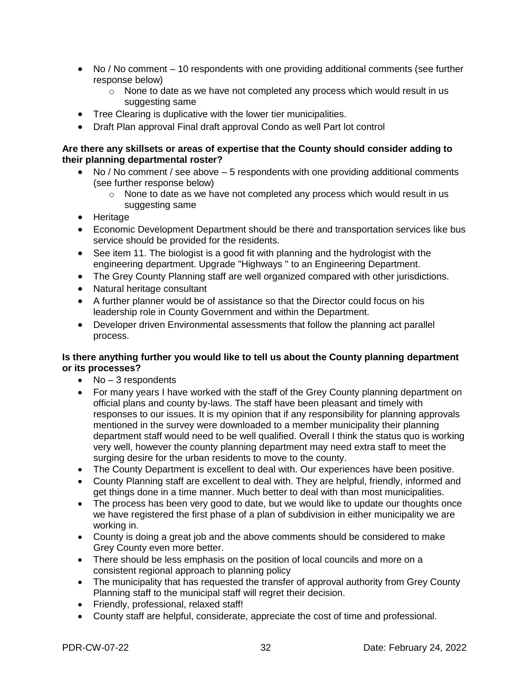- No / No comment 10 respondents with one providing additional comments (see further response below)
	- $\circ$  None to date as we have not completed any process which would result in us suggesting same
- Tree Clearing is duplicative with the lower tier municipalities.
- Draft Plan approval Final draft approval Condo as well Part lot control

#### **Are there any skillsets or areas of expertise that the County should consider adding to their planning departmental roster?**

- No / No comment / see above 5 respondents with one providing additional comments (see further response below)
	- $\circ$  None to date as we have not completed any process which would result in us suggesting same
- Heritage
- Economic Development Department should be there and transportation services like bus service should be provided for the residents.
- See item 11. The biologist is a good fit with planning and the hydrologist with the engineering department. Upgrade "Highways " to an Engineering Department.
- The Grey County Planning staff are well organized compared with other jurisdictions.
- Natural heritage consultant
- A further planner would be of assistance so that the Director could focus on his leadership role in County Government and within the Department.
- Developer driven Environmental assessments that follow the planning act parallel process.

#### **Is there anything further you would like to tell us about the County planning department or its processes?**

- $\bullet$  No 3 respondents
- For many years I have worked with the staff of the Grey County planning department on official plans and county by-laws. The staff have been pleasant and timely with responses to our issues. It is my opinion that if any responsibility for planning approvals mentioned in the survey were downloaded to a member municipality their planning department staff would need to be well qualified. Overall I think the status quo is working very well, however the county planning department may need extra staff to meet the surging desire for the urban residents to move to the county.
- The County Department is excellent to deal with. Our experiences have been positive.
- County Planning staff are excellent to deal with. They are helpful, friendly, informed and get things done in a time manner. Much better to deal with than most municipalities.
- The process has been very good to date, but we would like to update our thoughts once we have registered the first phase of a plan of subdivision in either municipality we are working in.
- County is doing a great job and the above comments should be considered to make Grey County even more better.
- There should be less emphasis on the position of local councils and more on a consistent regional approach to planning policy
- The municipality that has requested the transfer of approval authority from Grey County Planning staff to the municipal staff will regret their decision.
- Friendly, professional, relaxed staff!
- County staff are helpful, considerate, appreciate the cost of time and professional.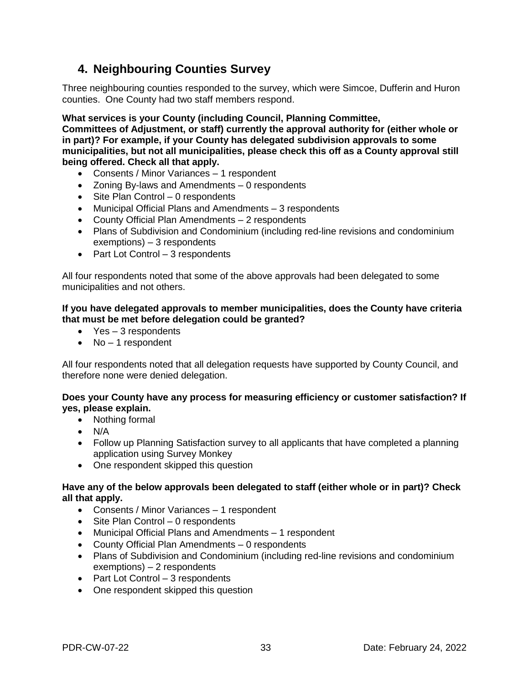### **4. Neighbouring Counties Survey**

Three neighbouring counties responded to the survey, which were Simcoe, Dufferin and Huron counties. One County had two staff members respond.

#### **What services is your County (including Council, Planning Committee,**

**Committees of Adjustment, or staff) currently the approval authority for (either whole or in part)? For example, if your County has delegated subdivision approvals to some municipalities, but not all municipalities, please check this off as a County approval still being offered. Check all that apply.**

- Consents / Minor Variances 1 respondent
- Zoning By-laws and Amendments 0 respondents
- Site Plan Control 0 respondents
- Municipal Official Plans and Amendments 3 respondents
- County Official Plan Amendments 2 respondents
- Plans of Subdivision and Condominium (including red-line revisions and condominium exemptions) – 3 respondents
- $\bullet$  Part Lot Control 3 respondents

All four respondents noted that some of the above approvals had been delegated to some municipalities and not others.

#### **If you have delegated approvals to member municipalities, does the County have criteria that must be met before delegation could be granted?**

- Yes 3 respondents
- $\bullet$  No 1 respondent

All four respondents noted that all delegation requests have supported by County Council, and therefore none were denied delegation.

#### **Does your County have any process for measuring efficiency or customer satisfaction? If yes, please explain.**

- Nothing formal
- $\bullet$  N/A
- Follow up Planning Satisfaction survey to all applicants that have completed a planning application using Survey Monkey
- One respondent skipped this question

#### **Have any of the below approvals been delegated to staff (either whole or in part)? Check all that apply.**

- Consents / Minor Variances 1 respondent
- Site Plan Control 0 respondents
- Municipal Official Plans and Amendments 1 respondent
- County Official Plan Amendments 0 respondents
- Plans of Subdivision and Condominium (including red-line revisions and condominium exemptions) – 2 respondents
- $\bullet$  Part Lot Control 3 respondents
- One respondent skipped this question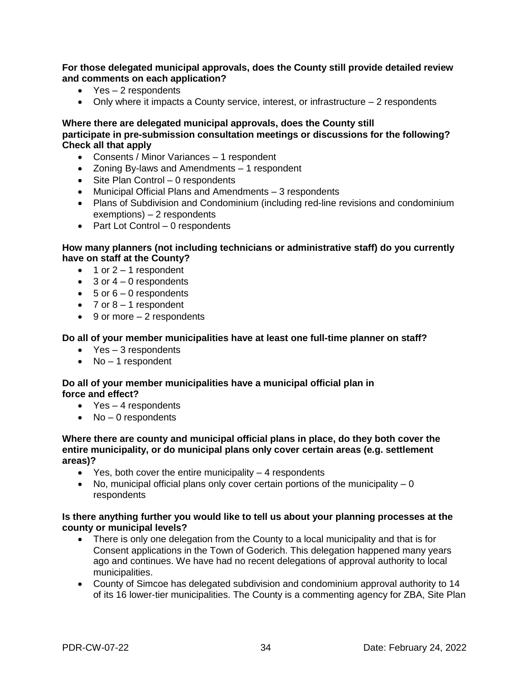**For those delegated municipal approvals, does the County still provide detailed review and comments on each application?**

- Yes 2 respondents
- $\bullet$  Only where it impacts a County service, interest, or infrastructure  $-2$  respondents

**Where there are delegated municipal approvals, does the County still participate in pre-submission consultation meetings or discussions for the following? Check all that apply**

- Consents / Minor Variances 1 respondent
- Zoning By-laws and Amendments 1 respondent
- Site Plan Control 0 respondents
- Municipal Official Plans and Amendments 3 respondents
- Plans of Subdivision and Condominium (including red-line revisions and condominium exemptions) – 2 respondents
- Part Lot Control 0 respondents

#### **How many planners (not including technicians or administrative staff) do you currently have on staff at the County?**

- $\bullet$  1 or 2 1 respondent
- $\bullet$  3 or 4 0 respondents
- $\bullet$  5 or 6 0 respondents
- $\bullet$  7 or 8 1 respondent
- $\bullet$  9 or more  $-2$  respondents

#### **Do all of your member municipalities have at least one full-time planner on staff?**

- Yes 3 respondents
- $\bullet$  No 1 respondent

#### **Do all of your member municipalities have a municipal official plan in force and effect?**

- Yes 4 respondents
- $\bullet$  No 0 respondents

#### **Where there are county and municipal official plans in place, do they both cover the entire municipality, or do municipal plans only cover certain areas (e.g. settlement areas)?**

- $\bullet$  Yes, both cover the entire municipality  $-4$  respondents
- $\bullet$  No, municipal official plans only cover certain portions of the municipality  $-0$ respondents

#### **Is there anything further you would like to tell us about your planning processes at the county or municipal levels?**

- There is only one delegation from the County to a local municipality and that is for Consent applications in the Town of Goderich. This delegation happened many years ago and continues. We have had no recent delegations of approval authority to local municipalities.
- County of Simcoe has delegated subdivision and condominium approval authority to 14 of its 16 lower-tier municipalities. The County is a commenting agency for ZBA, Site Plan